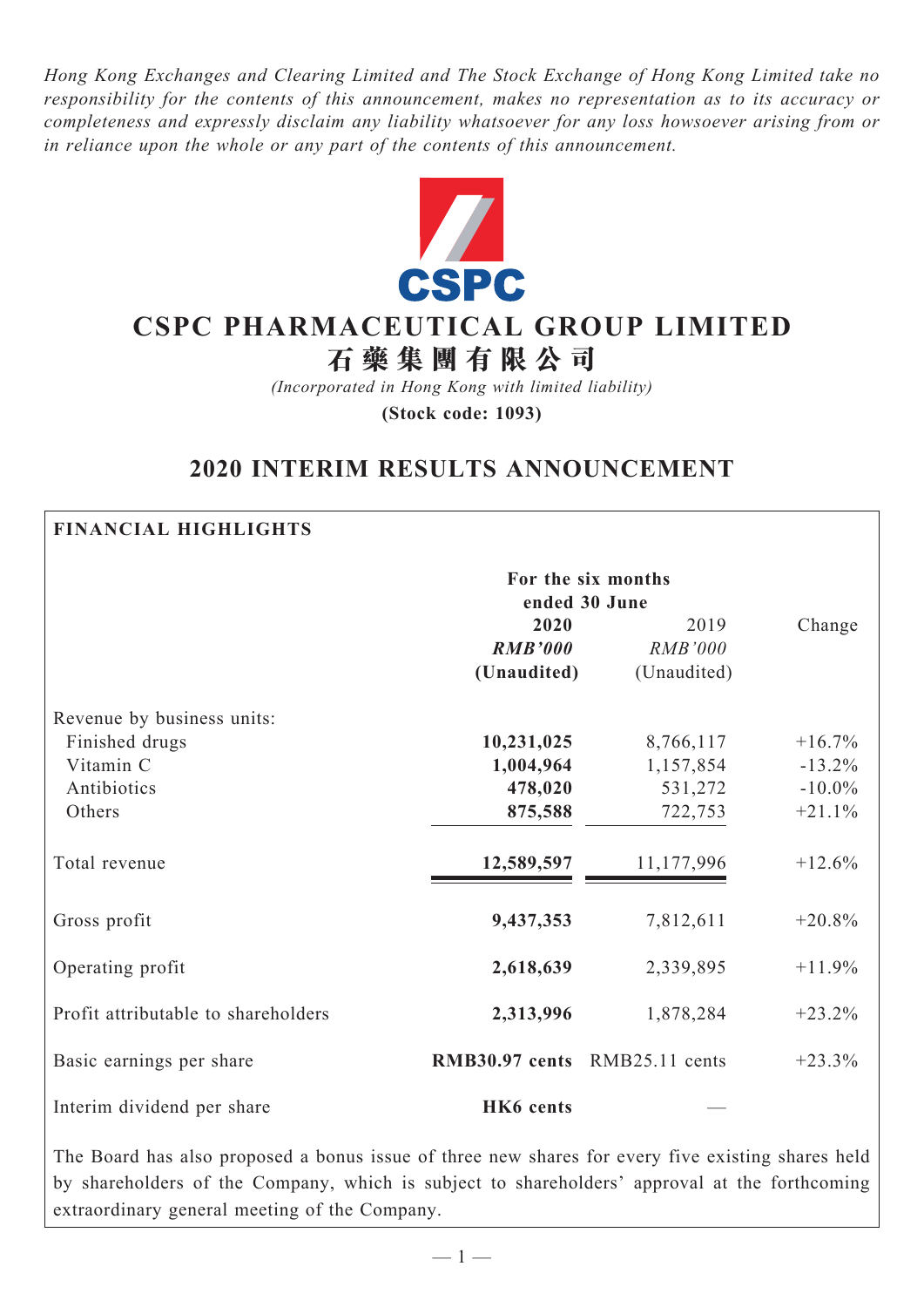*Hong Kong Exchanges and Clearing Limited and The Stock Exchange of Hong Kong Limited take no responsibility for the contents of this announcement, makes no representation as to its accuracy or completeness and expressly disclaim any liability whatsoever for any loss howsoever arising from or in reliance upon the whole or any part of the contents of this announcement.*



# **CSPC Pharmaceutical Group Limited**

**石 藥 集 團 有 限 公 司**

*(Incorporated in Hong Kong with limited liability)* **(Stock code: 1093)**

# **2020 INTERIM RESULTS ANNOUNCEMENT**

## **Financial Highlights**

|                                     | For the six months<br>ended 30 June |                |           |
|-------------------------------------|-------------------------------------|----------------|-----------|
|                                     | 2020                                | 2019           | Change    |
|                                     | <b>RMB'000</b>                      | <b>RMB'000</b> |           |
|                                     | (Unaudited)                         | (Unaudited)    |           |
| Revenue by business units:          |                                     |                |           |
| Finished drugs                      | 10,231,025                          | 8,766,117      | $+16.7%$  |
| Vitamin C                           | 1,004,964                           | 1,157,854      | $-13.2%$  |
| Antibiotics                         | 478,020                             | 531,272        | $-10.0\%$ |
| Others                              | 875,588                             | 722,753        | $+21.1%$  |
| Total revenue                       | 12,589,597                          | 11,177,996     | $+12.6%$  |
| Gross profit                        | 9,437,353                           | 7,812,611      | $+20.8\%$ |
| Operating profit                    | 2,618,639                           | 2,339,895      | $+11.9%$  |
| Profit attributable to shareholders | 2,313,996                           | 1,878,284      | $+23.2%$  |
| Basic earnings per share            | RMB30.97 cents RMB25.11 cents       |                | $+23.3%$  |
| Interim dividend per share          | HK6 cents                           |                |           |

The Board has also proposed a bonus issue of three new shares for every five existing shares held by shareholders of the Company, which is subject to shareholders' approval at the forthcoming extraordinary general meeting of the Company.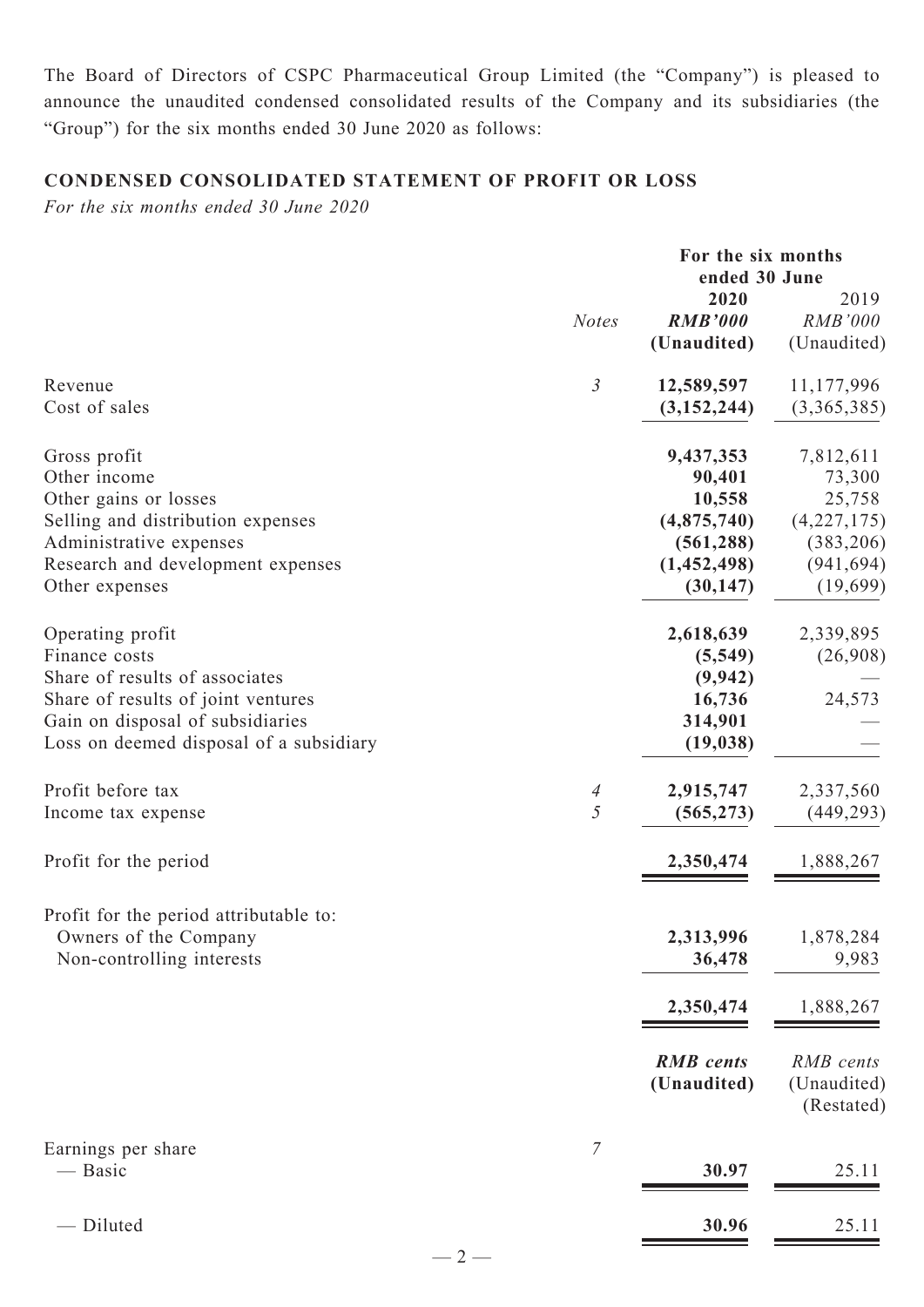The Board of Directors of CSPC Pharmaceutical Group Limited (the "Company") is pleased to announce the unaudited condensed consolidated results of the Company and its subsidiaries (the "Group") for the six months ended 30 June 2020 as follows:

# **CONDENSED CONSOLIDATED Statement of Profit or Loss**

*For the six months ended 30 June 2020*

|                                                                                                                                                                                                                   | For the six months<br>ended 30 June |                                                                                                                 |                                                                                                               |  |
|-------------------------------------------------------------------------------------------------------------------------------------------------------------------------------------------------------------------|-------------------------------------|-----------------------------------------------------------------------------------------------------------------|---------------------------------------------------------------------------------------------------------------|--|
|                                                                                                                                                                                                                   | <b>Notes</b>                        | 2020<br><b>RMB'000</b><br>(Unaudited)                                                                           | 2019<br>RMB'000<br>(Unaudited)                                                                                |  |
| Revenue<br>Cost of sales                                                                                                                                                                                          | $\mathfrak{Z}$                      | 12,589,597<br>(3, 152, 244)                                                                                     | 11,177,996<br>(3,365,385)                                                                                     |  |
| Gross profit<br>Other income<br>Other gains or losses<br>Selling and distribution expenses<br>Administrative expenses<br>Research and development expenses<br>Other expenses<br>Operating profit<br>Finance costs |                                     | 9,437,353<br>90,401<br>10,558<br>(4,875,740)<br>(561, 288)<br>(1,452,498)<br>(30, 147)<br>2,618,639<br>(5, 549) | 7,812,611<br>73,300<br>25,758<br>(4,227,175)<br>(383, 206)<br>(941, 694)<br>(19,699)<br>2,339,895<br>(26,908) |  |
| Share of results of associates<br>Share of results of joint ventures<br>Gain on disposal of subsidiaries<br>Loss on deemed disposal of a subsidiary                                                               |                                     | (9, 942)<br>16,736<br>314,901<br>(19, 038)                                                                      | 24,573                                                                                                        |  |
| Profit before tax<br>Income tax expense                                                                                                                                                                           | $\overline{A}$<br>5                 | 2,915,747<br>(565, 273)                                                                                         | 2,337,560<br>(449, 293)                                                                                       |  |
| Profit for the period                                                                                                                                                                                             |                                     | 2,350,474                                                                                                       | 1,888,267                                                                                                     |  |
| Profit for the period attributable to:<br>Owners of the Company<br>Non-controlling interests                                                                                                                      |                                     | 2,313,996<br>36,478<br>2,350,474                                                                                | 1,878,284<br>9,983<br>1,888,267                                                                               |  |
|                                                                                                                                                                                                                   |                                     | <b>RMB</b> cents<br>(Unaudited)                                                                                 | RMB cents<br>(Unaudited)<br>(Restated)                                                                        |  |
| Earnings per share<br>— Basic                                                                                                                                                                                     | $\overline{7}$                      | 30.97                                                                                                           | 25.11                                                                                                         |  |
| Diluted                                                                                                                                                                                                           |                                     | 30.96                                                                                                           | 25.11                                                                                                         |  |

 $-2-$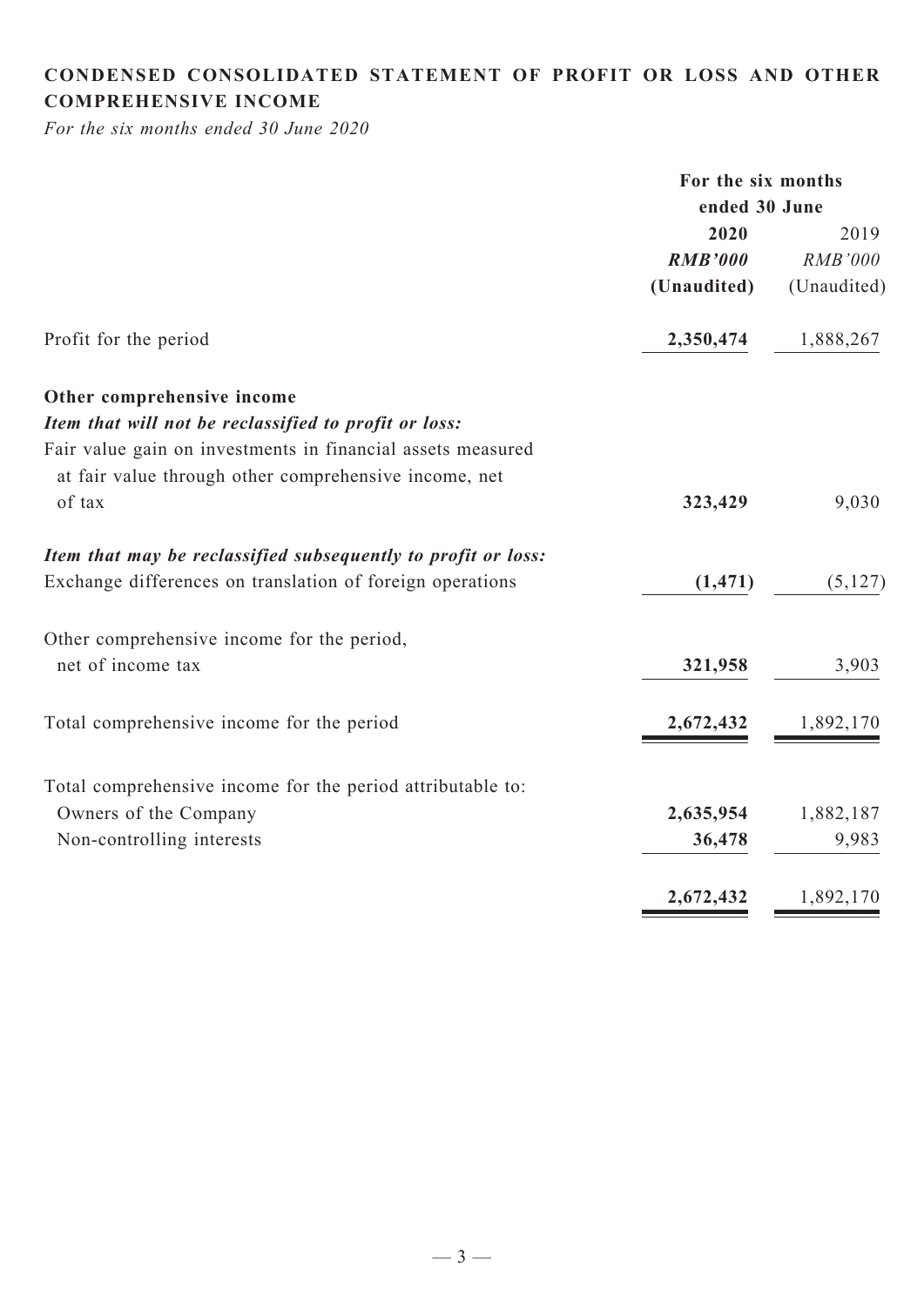# **CONDENSED CONSOLIDATED statement of Profit or Loss and Other comprehensive income**

*For the six months ended 30 June 2020*

|                                                               | For the six months |                |  |
|---------------------------------------------------------------|--------------------|----------------|--|
|                                                               | ended 30 June      |                |  |
|                                                               | 2020               | 2019           |  |
|                                                               | <b>RMB'000</b>     | <b>RMB'000</b> |  |
|                                                               | (Unaudited)        | (Unaudited)    |  |
| Profit for the period                                         | 2,350,474          | 1,888,267      |  |
| Other comprehensive income                                    |                    |                |  |
| Item that will not be reclassified to profit or loss:         |                    |                |  |
| Fair value gain on investments in financial assets measured   |                    |                |  |
| at fair value through other comprehensive income, net         |                    |                |  |
| of tax                                                        | 323,429            | 9,030          |  |
| Item that may be reclassified subsequently to profit or loss: |                    |                |  |
| Exchange differences on translation of foreign operations     | (1, 471)           | (5,127)        |  |
| Other comprehensive income for the period,                    |                    |                |  |
| net of income tax                                             | 321,958            | 3,903          |  |
| Total comprehensive income for the period                     | 2,672,432          | 1,892,170      |  |
| Total comprehensive income for the period attributable to:    |                    |                |  |
| Owners of the Company                                         | 2,635,954          | 1,882,187      |  |
| Non-controlling interests                                     | 36,478             | 9,983          |  |
|                                                               | 2,672,432          | 1,892,170      |  |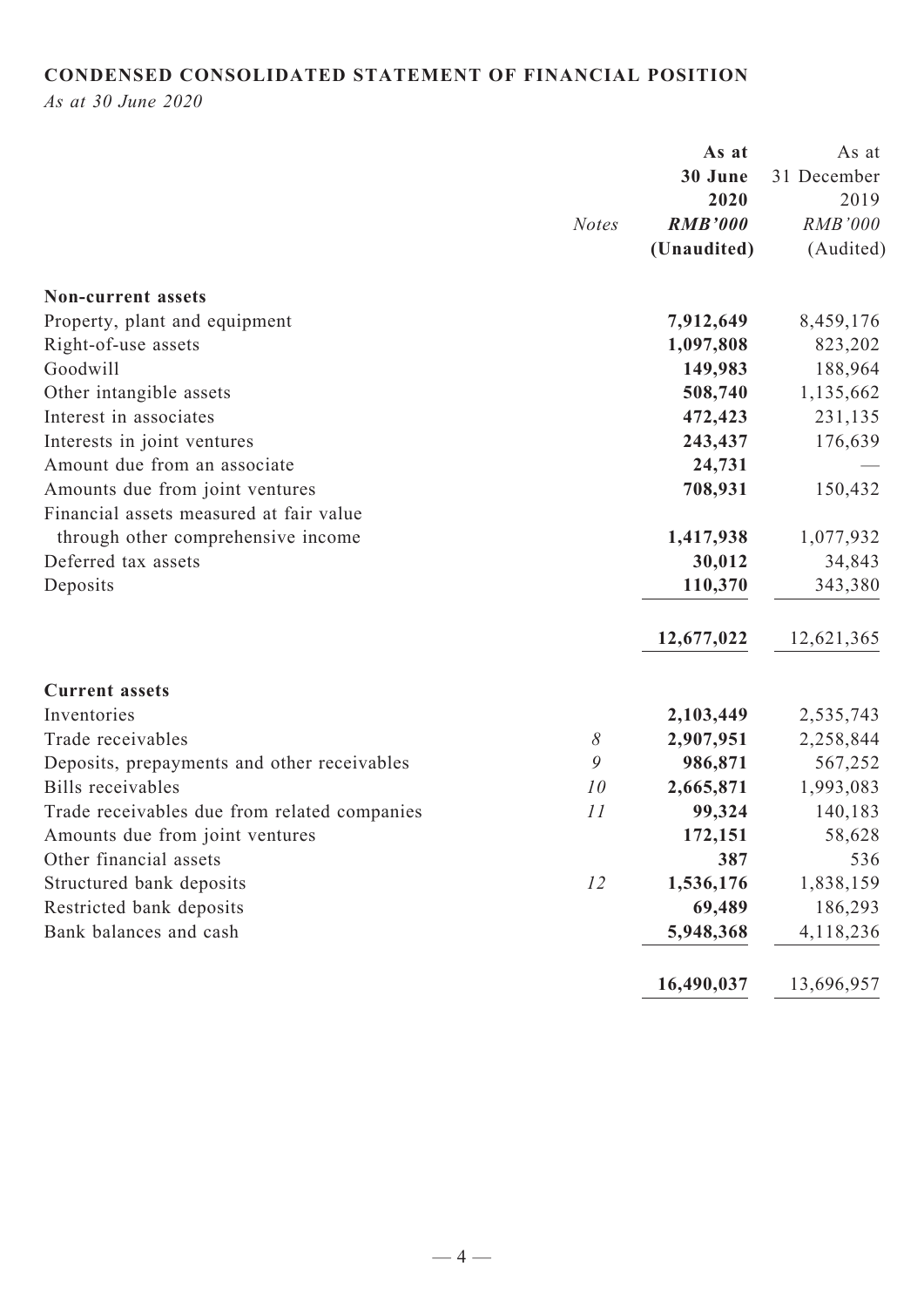# **CONDENSED CONSOLIDATED STATEMENT OF FINANCIAL POSITION**

*As at 30 June 2020*

| <b>Notes</b><br><b>Non-current assets</b><br>Property, plant and equipment | 30 June<br>31 December<br>2020<br>2019<br><b>RMB'000</b><br><b>RMB'000</b><br>(Unaudited)<br>(Audited)<br>7,912,649<br>8,459,176<br>1,097,808<br>823,202 |
|----------------------------------------------------------------------------|----------------------------------------------------------------------------------------------------------------------------------------------------------|
|                                                                            |                                                                                                                                                          |
|                                                                            |                                                                                                                                                          |
|                                                                            |                                                                                                                                                          |
|                                                                            |                                                                                                                                                          |
|                                                                            |                                                                                                                                                          |
|                                                                            |                                                                                                                                                          |
| Right-of-use assets                                                        |                                                                                                                                                          |
| Goodwill                                                                   | 149,983<br>188,964                                                                                                                                       |
| Other intangible assets                                                    | 508,740<br>1,135,662                                                                                                                                     |
| Interest in associates                                                     | 472,423<br>231,135                                                                                                                                       |
| Interests in joint ventures                                                | 243,437<br>176,639                                                                                                                                       |
| Amount due from an associate                                               | 24,731                                                                                                                                                   |
| Amounts due from joint ventures                                            | 708,931<br>150,432                                                                                                                                       |
| Financial assets measured at fair value                                    |                                                                                                                                                          |
| through other comprehensive income                                         | 1,417,938<br>1,077,932                                                                                                                                   |
| Deferred tax assets                                                        | 30,012<br>34,843                                                                                                                                         |
| Deposits                                                                   | 110,370<br>343,380                                                                                                                                       |
|                                                                            | 12,677,022<br>12,621,365                                                                                                                                 |
| <b>Current assets</b>                                                      |                                                                                                                                                          |
| Inventories                                                                | 2,103,449<br>2,535,743                                                                                                                                   |
| $\delta$<br>Trade receivables                                              | 2,907,951<br>2,258,844                                                                                                                                   |
| 9<br>Deposits, prepayments and other receivables                           | 986,871<br>567,252                                                                                                                                       |
| <b>Bills</b> receivables<br>10                                             | 2,665,871<br>1,993,083                                                                                                                                   |
| Trade receivables due from related companies<br>11                         | 99,324<br>140,183                                                                                                                                        |
| Amounts due from joint ventures                                            | 58,628<br>172,151                                                                                                                                        |
| Other financial assets                                                     | 387<br>536                                                                                                                                               |
| Structured bank deposits<br>12                                             | 1,536,176<br>1,838,159                                                                                                                                   |
| Restricted bank deposits                                                   | 69,489<br>186,293                                                                                                                                        |
| Bank balances and cash                                                     | 5,948,368<br>4,118,236                                                                                                                                   |
|                                                                            | 13,696,957<br>16,490,037                                                                                                                                 |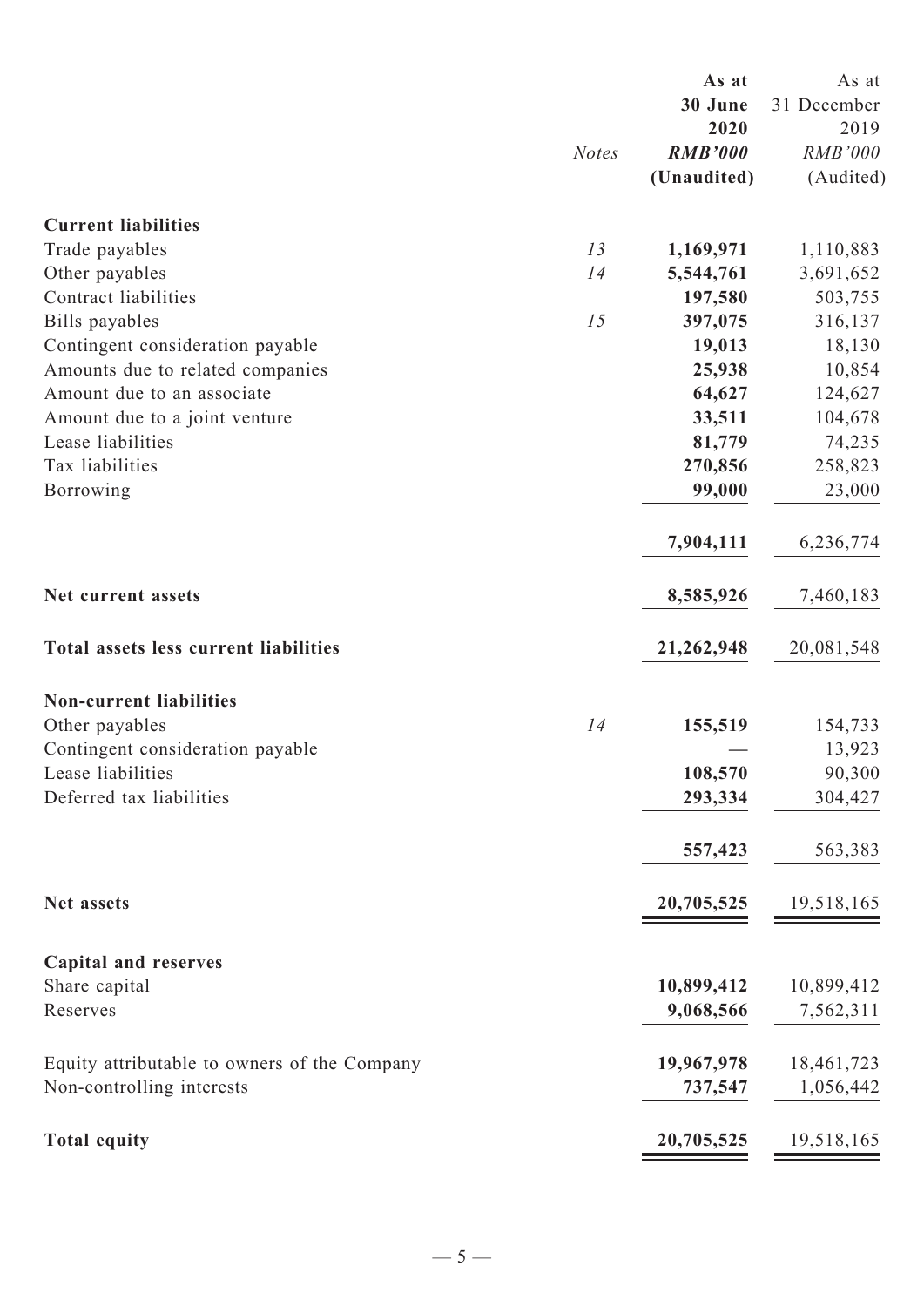|                                              |              | As at          | As at          |
|----------------------------------------------|--------------|----------------|----------------|
|                                              |              | 30 June        | 31 December    |
|                                              |              | 2020           | 2019           |
|                                              | <b>Notes</b> | <b>RMB'000</b> | <b>RMB'000</b> |
|                                              |              | (Unaudited)    | (Audited)      |
| <b>Current liabilities</b>                   |              |                |                |
| Trade payables                               | 13           | 1,169,971      | 1,110,883      |
| Other payables                               | 14           | 5,544,761      | 3,691,652      |
| Contract liabilities                         |              | 197,580        | 503,755        |
| Bills payables                               | 15           | 397,075        | 316,137        |
| Contingent consideration payable             |              | 19,013         | 18,130         |
| Amounts due to related companies             |              | 25,938         | 10,854         |
| Amount due to an associate                   |              | 64,627         | 124,627        |
| Amount due to a joint venture                |              | 33,511         | 104,678        |
| Lease liabilities                            |              | 81,779         | 74,235         |
| Tax liabilities                              |              | 270,856        | 258,823        |
| Borrowing                                    |              | 99,000         | 23,000         |
|                                              |              | 7,904,111      | 6,236,774      |
| Net current assets                           |              | 8,585,926      | 7,460,183      |
| Total assets less current liabilities        |              | 21,262,948     | 20,081,548     |
| <b>Non-current liabilities</b>               |              |                |                |
| Other payables                               | 14           | 155,519        | 154,733        |
| Contingent consideration payable             |              |                | 13,923         |
| Lease liabilities                            |              | 108,570        | 90,300         |
| Deferred tax liabilities                     |              | 293,334        | 304,427        |
|                                              |              | 557,423        | 563,383        |
| Net assets                                   |              | 20,705,525     | 19,518,165     |
|                                              |              |                |                |
| <b>Capital and reserves</b><br>Share capital |              | 10,899,412     | 10,899,412     |
| Reserves                                     |              | 9,068,566      | 7,562,311      |
|                                              |              |                |                |
| Equity attributable to owners of the Company |              | 19,967,978     | 18,461,723     |
| Non-controlling interests                    |              | 737,547        | 1,056,442      |
| <b>Total equity</b>                          |              | 20,705,525     | 19,518,165     |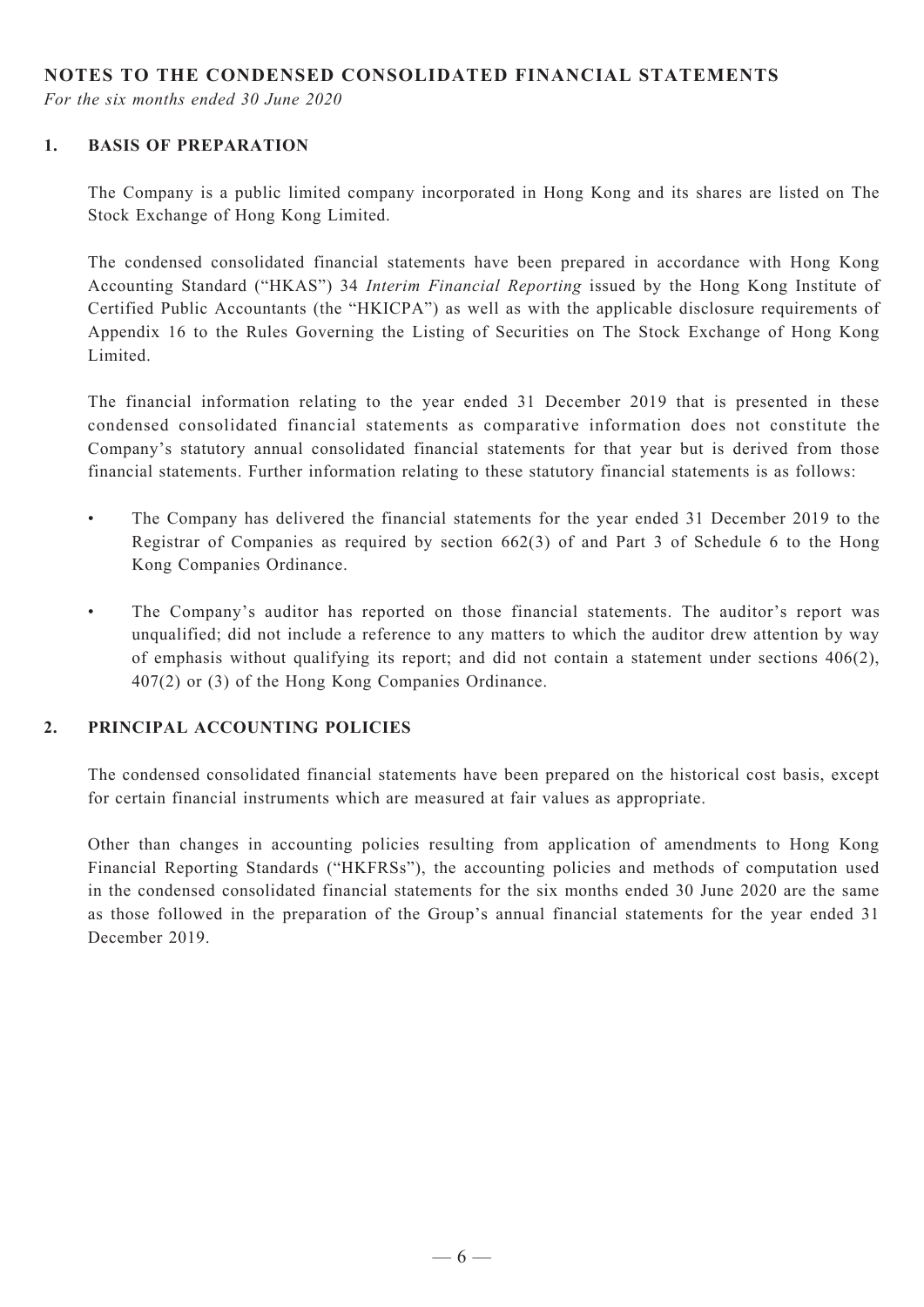## **NOTES TO THE CONDENSED CONSOLIDATED FINANCIAL STATEMENTS**

*For the six months ended 30 June 2020*

#### **1. BASIS OF PREPARATION**

The Company is a public limited company incorporated in Hong Kong and its shares are listed on The Stock Exchange of Hong Kong Limited.

The condensed consolidated financial statements have been prepared in accordance with Hong Kong Accounting Standard ("HKAS") 34 *Interim Financial Reporting* issued by the Hong Kong Institute of Certified Public Accountants (the "HKICPA") as well as with the applicable disclosure requirements of Appendix 16 to the Rules Governing the Listing of Securities on The Stock Exchange of Hong Kong Limited.

The financial information relating to the year ended 31 December 2019 that is presented in these condensed consolidated financial statements as comparative information does not constitute the Company's statutory annual consolidated financial statements for that year but is derived from those financial statements. Further information relating to these statutory financial statements is as follows:

- The Company has delivered the financial statements for the year ended 31 December 2019 to the Registrar of Companies as required by section 662(3) of and Part 3 of Schedule 6 to the Hong Kong Companies Ordinance.
- The Company's auditor has reported on those financial statements. The auditor's report was unqualified; did not include a reference to any matters to which the auditor drew attention by way of emphasis without qualifying its report; and did not contain a statement under sections 406(2), 407(2) or (3) of the Hong Kong Companies Ordinance.

#### **2. PRINCIPAL ACCOUNTING POLICIES**

The condensed consolidated financial statements have been prepared on the historical cost basis, except for certain financial instruments which are measured at fair values as appropriate.

Other than changes in accounting policies resulting from application of amendments to Hong Kong Financial Reporting Standards ("HKFRSs"), the accounting policies and methods of computation used in the condensed consolidated financial statements for the six months ended 30 June 2020 are the same as those followed in the preparation of the Group's annual financial statements for the year ended 31 December 2019.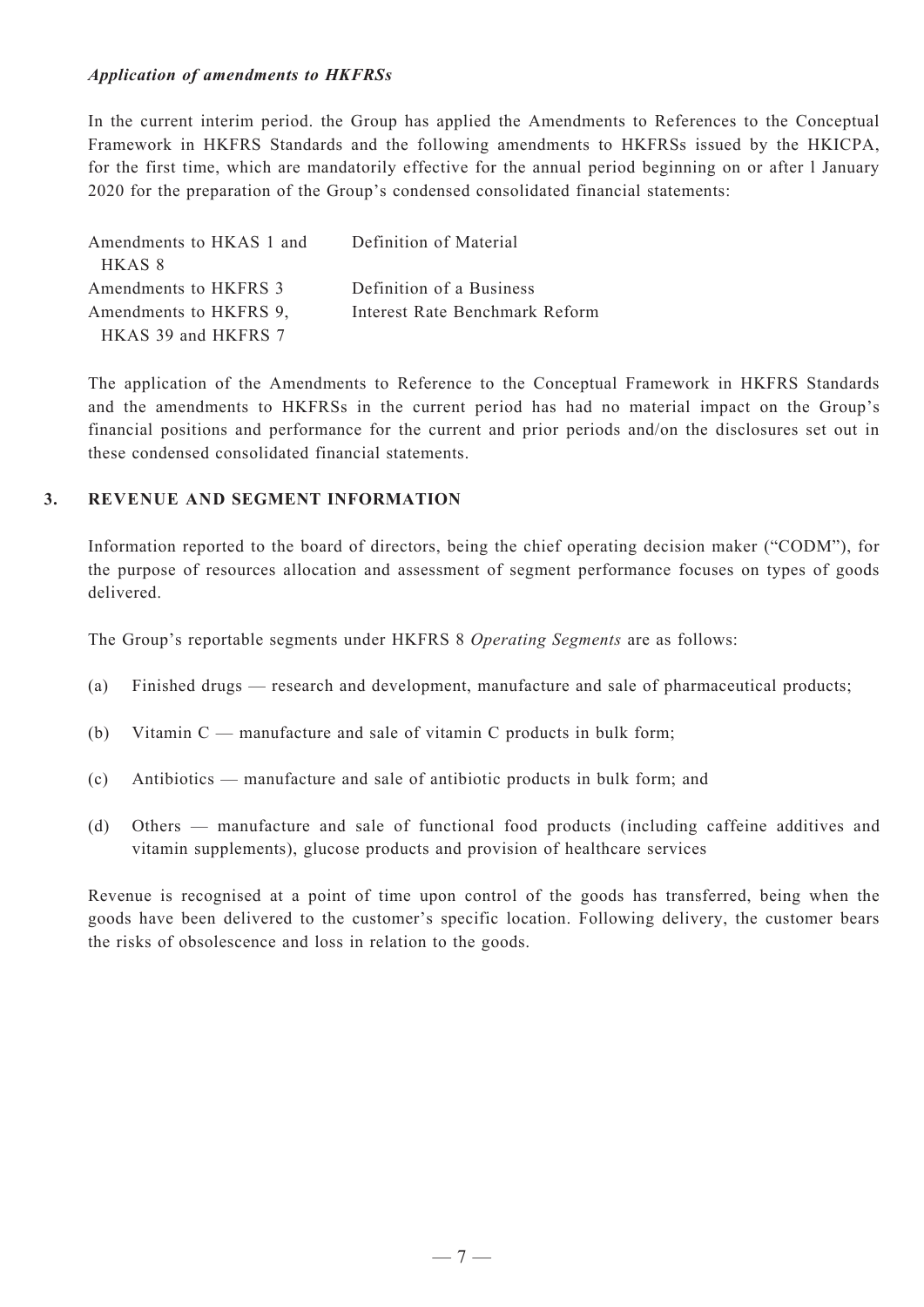#### *Application of amendments to HKFRSs*

In the current interim period. the Group has applied the Amendments to References to the Conceptual Framework in HKFRS Standards and the following amendments to HKFRSs issued by the HKICPA, for the first time, which are mandatorily effective for the annual period beginning on or after l January 2020 for the preparation of the Group's condensed consolidated financial statements:

| Amendments to HKAS 1 and | Definition of Material         |
|--------------------------|--------------------------------|
| HKAS 8                   |                                |
| Amendments to HKFRS 3    | Definition of a Business       |
| Amendments to HKFRS 9,   | Interest Rate Benchmark Reform |
| HKAS 39 and HKFRS 7      |                                |

The application of the Amendments to Reference to the Conceptual Framework in HKFRS Standards and the amendments to HKFRSs in the current period has had no material impact on the Group's financial positions and performance for the current and prior periods and/on the disclosures set out in these condensed consolidated financial statements.

#### **3. Revenue and SEGMENT INFORMATION**

Information reported to the board of directors, being the chief operating decision maker ("CODM"), for the purpose of resources allocation and assessment of segment performance focuses on types of goods delivered.

The Group's reportable segments under HKFRS 8 *Operating Segments* are as follows:

- (a) Finished drugs research and development, manufacture and sale of pharmaceutical products;
- (b) Vitamin C manufacture and sale of vitamin C products in bulk form;
- (c) Antibiotics manufacture and sale of antibiotic products in bulk form; and
- (d) Others manufacture and sale of functional food products (including caffeine additives and vitamin supplements), glucose products and provision of healthcare services

Revenue is recognised at a point of time upon control of the goods has transferred, being when the goods have been delivered to the customer's specific location. Following delivery, the customer bears the risks of obsolescence and loss in relation to the goods.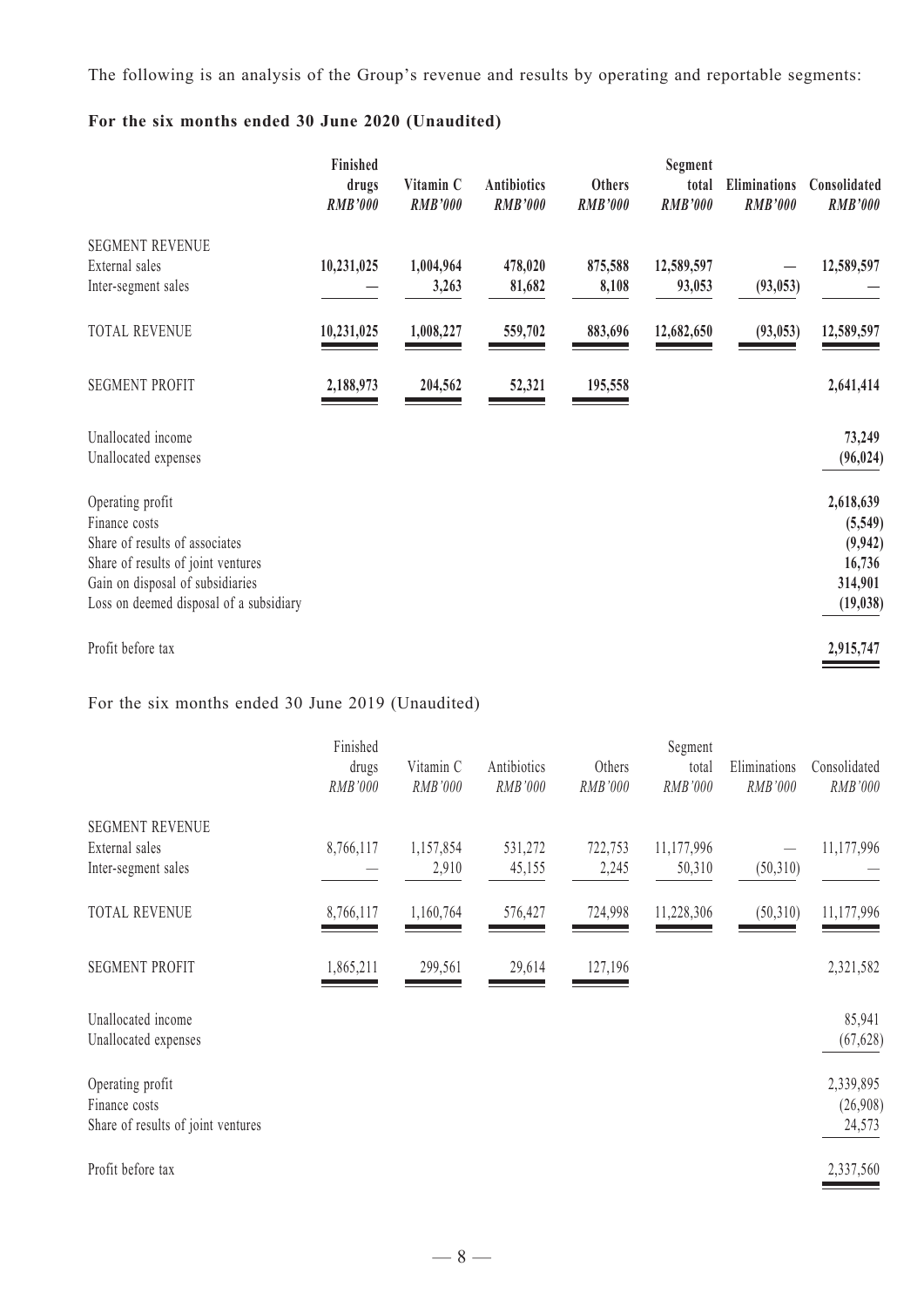The following is an analysis of the Group's revenue and results by operating and reportable segments:

# **For the six months ended 30 June 2020 (Unaudited)**

|                                                                                                                                                                                          | Finished<br>drugs<br><b>RMB'000</b> | Vitamin C<br><b>RMB'000</b> | <b>Antibiotics</b><br><b>RMB'000</b> | <b>Others</b><br><b>RMB'000</b> | Segment<br>total<br><b>RMB'000</b> | Eliminations<br><b>RMB'000</b> | Consolidated<br><b>RMB'000</b>                                     |
|------------------------------------------------------------------------------------------------------------------------------------------------------------------------------------------|-------------------------------------|-----------------------------|--------------------------------------|---------------------------------|------------------------------------|--------------------------------|--------------------------------------------------------------------|
| <b>SEGMENT REVENUE</b><br>External sales<br>Inter-segment sales                                                                                                                          | 10,231,025                          | 1,004,964<br>3,263          | 478,020<br>81,682                    | 875,588<br>8,108                | 12,589,597<br>93,053               | (93, 053)                      | 12,589,597                                                         |
| <b>TOTAL REVENUE</b>                                                                                                                                                                     | 10,231,025                          | 1,008,227                   | 559,702                              | 883,696                         | 12,682,650                         | (93, 053)                      | 12,589,597                                                         |
| <b>SEGMENT PROFIT</b>                                                                                                                                                                    | 2,188,973                           | 204,562                     | 52,321                               | 195,558                         |                                    |                                | 2,641,414                                                          |
| Unallocated income<br>Unallocated expenses                                                                                                                                               |                                     |                             |                                      |                                 |                                    |                                | 73,249<br>(96, 024)                                                |
| Operating profit<br>Finance costs<br>Share of results of associates<br>Share of results of joint ventures<br>Gain on disposal of subsidiaries<br>Loss on deemed disposal of a subsidiary |                                     |                             |                                      |                                 |                                    |                                | 2,618,639<br>(5,549)<br>(9, 942)<br>16,736<br>314,901<br>(19, 038) |
| Profit before tax                                                                                                                                                                        |                                     |                             |                                      |                                 |                                    |                                | 2,915,747                                                          |

# For the six months ended 30 June 2019 (Unaudited)

|                                                                         | Finished<br>drugs<br>RMB'000 | Vitamin C<br>RMB'000 | Antibiotics<br>RMB'000 | Others<br>RMB'000 | Segment<br>total<br>RMB'000 | Eliminations<br>RMB'000 | Consolidated<br>RMB'000         |
|-------------------------------------------------------------------------|------------------------------|----------------------|------------------------|-------------------|-----------------------------|-------------------------|---------------------------------|
| <b>SEGMENT REVENUE</b>                                                  |                              |                      |                        |                   |                             |                         |                                 |
| External sales<br>Inter-segment sales                                   | 8,766,117                    | 1,157,854<br>2,910   | 531,272<br>45,155      | 722,753<br>2,245  | 11,177,996<br>50,310        | (50,310)                | 11,177,996                      |
| <b>TOTAL REVENUE</b>                                                    | 8,766,117                    | 1,160,764            | 576,427                | 724,998           | 11,228,306                  | (50,310)                | 11,177,996                      |
| <b>SEGMENT PROFIT</b>                                                   | 1,865,211                    | 299,561              | 29,614                 | 127,196           |                             |                         | 2,321,582                       |
| Unallocated income<br>Unallocated expenses                              |                              |                      |                        |                   |                             |                         | 85,941<br>(67, 628)             |
| Operating profit<br>Finance costs<br>Share of results of joint ventures |                              |                      |                        |                   |                             |                         | 2,339,895<br>(26,908)<br>24,573 |
| Profit before tax                                                       |                              |                      |                        |                   |                             |                         | 2,337,560                       |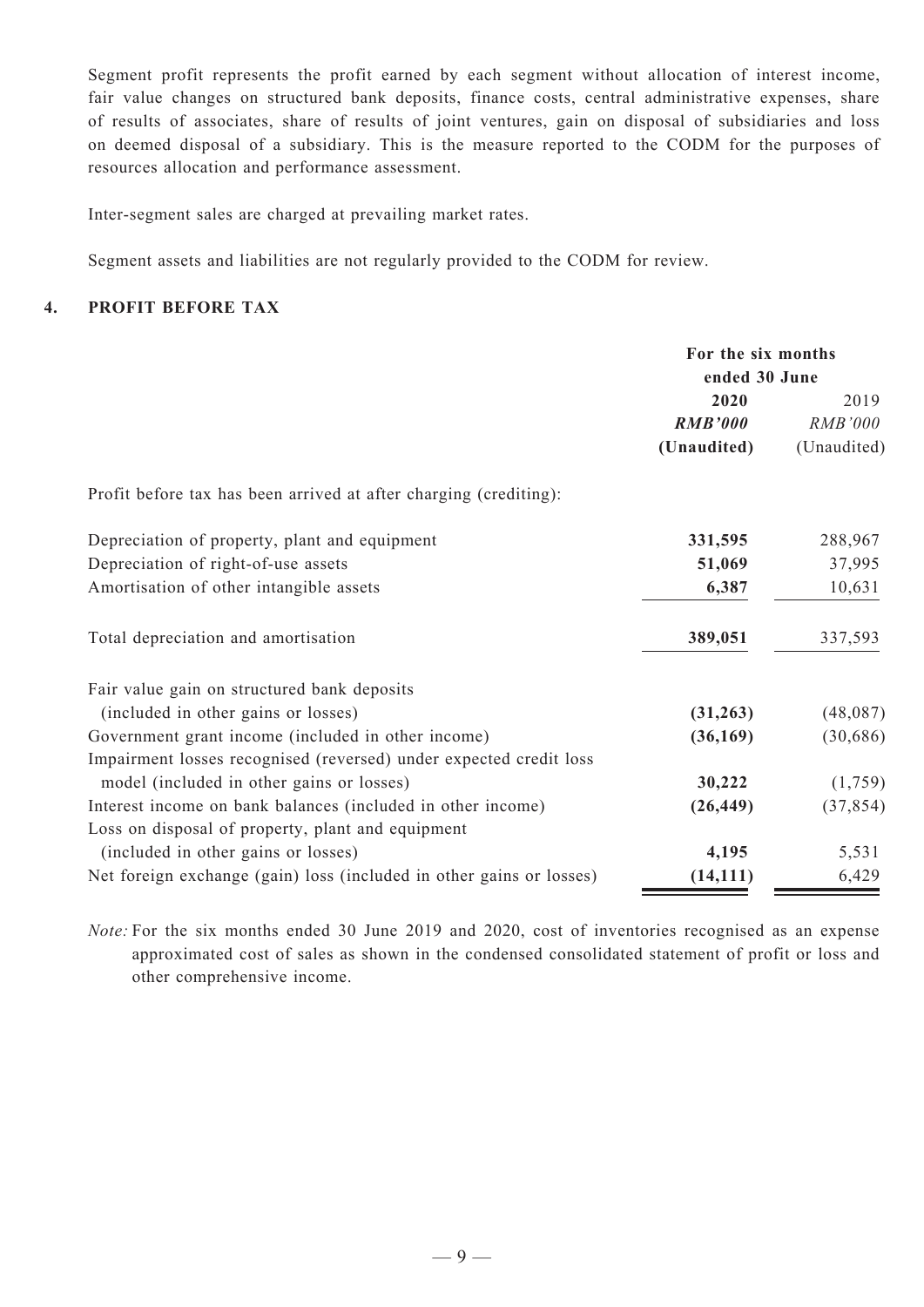Segment profit represents the profit earned by each segment without allocation of interest income, fair value changes on structured bank deposits, finance costs, central administrative expenses, share of results of associates, share of results of joint ventures, gain on disposal of subsidiaries and loss on deemed disposal of a subsidiary. This is the measure reported to the CODM for the purposes of resources allocation and performance assessment.

Inter-segment sales are charged at prevailing market rates.

Segment assets and liabilities are not regularly provided to the CODM for review.

### **4. PROFIT BEFORE TAX**

|                                                                      | For the six months<br>ended 30 June |                |  |
|----------------------------------------------------------------------|-------------------------------------|----------------|--|
|                                                                      | 2020                                | 2019           |  |
|                                                                      | <b>RMB'000</b>                      | <i>RMB'000</i> |  |
|                                                                      | (Unaudited)                         | (Unaudited)    |  |
| Profit before tax has been arrived at after charging (crediting):    |                                     |                |  |
| Depreciation of property, plant and equipment                        | 331,595                             | 288,967        |  |
| Depreciation of right-of-use assets                                  | 51,069                              | 37,995         |  |
| Amortisation of other intangible assets                              | 6,387                               | 10,631         |  |
| Total depreciation and amortisation                                  | 389,051                             | 337,593        |  |
| Fair value gain on structured bank deposits                          |                                     |                |  |
| (included in other gains or losses)                                  | (31, 263)                           | (48,087)       |  |
| Government grant income (included in other income)                   | (36, 169)                           | (30, 686)      |  |
| Impairment losses recognised (reversed) under expected credit loss   |                                     |                |  |
| model (included in other gains or losses)                            | 30,222                              | (1,759)        |  |
| Interest income on bank balances (included in other income)          | (26, 449)                           | (37, 854)      |  |
| Loss on disposal of property, plant and equipment                    |                                     |                |  |
| (included in other gains or losses)                                  | 4,195                               | 5,531          |  |
| Net foreign exchange (gain) loss (included in other gains or losses) | (14, 111)                           | 6,429          |  |

*Note:* For the six months ended 30 June 2019 and 2020, cost of inventories recognised as an expense approximated cost of sales as shown in the condensed consolidated statement of profit or loss and other comprehensive income.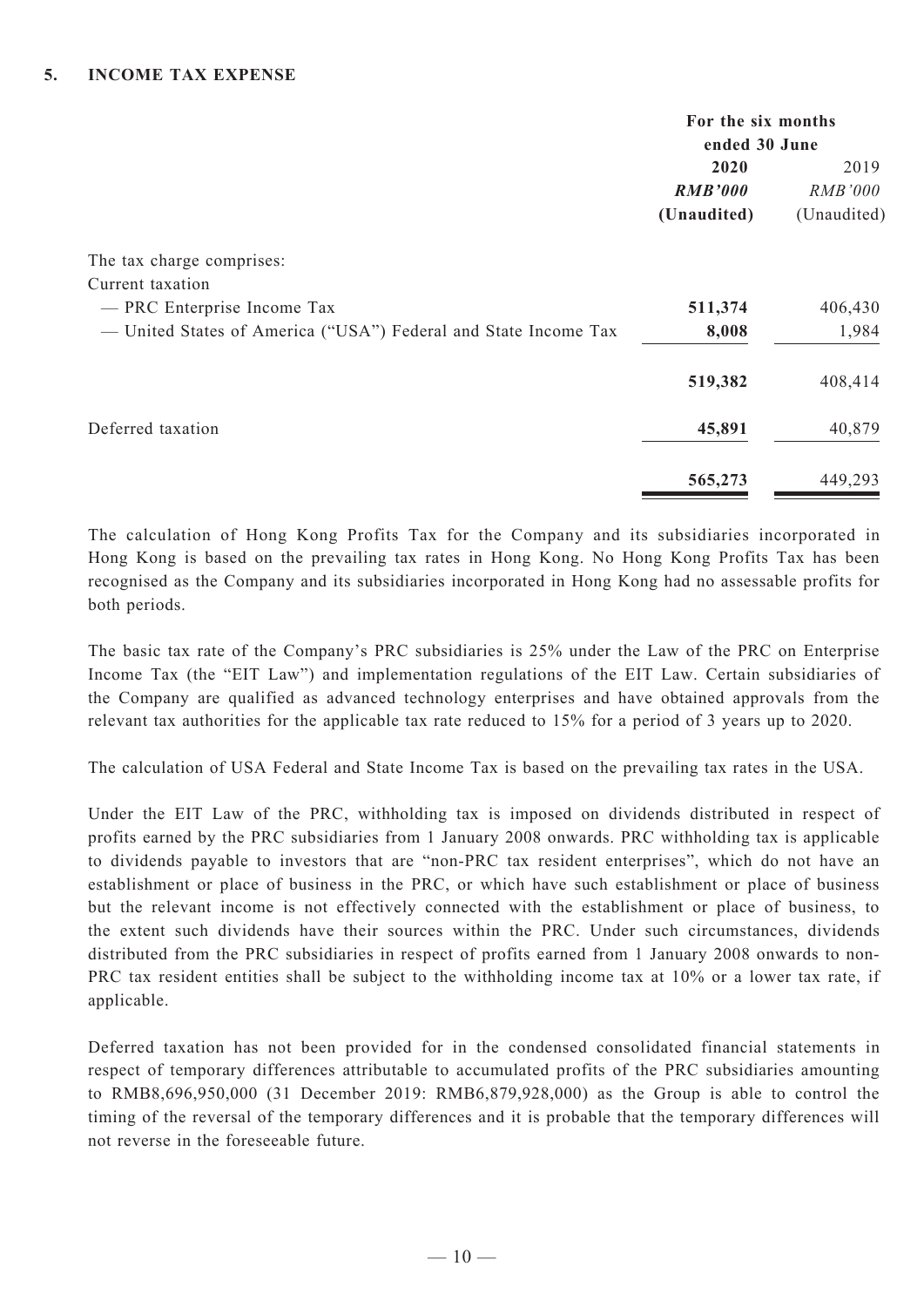|                                                                 | For the six months |                |  |
|-----------------------------------------------------------------|--------------------|----------------|--|
|                                                                 | ended 30 June      |                |  |
|                                                                 | 2020               | 2019           |  |
|                                                                 | <b>RMB'000</b>     | <i>RMB'000</i> |  |
|                                                                 | (Unaudited)        | (Unaudited)    |  |
| The tax charge comprises:                                       |                    |                |  |
| Current taxation                                                |                    |                |  |
| - PRC Enterprise Income Tax                                     | 511,374            | 406,430        |  |
| - United States of America ("USA") Federal and State Income Tax | 8,008              | 1,984          |  |
|                                                                 | 519,382            | 408,414        |  |
| Deferred taxation                                               | 45,891             | 40,879         |  |
|                                                                 | 565,273            | 449,293        |  |

The calculation of Hong Kong Profits Tax for the Company and its subsidiaries incorporated in Hong Kong is based on the prevailing tax rates in Hong Kong. No Hong Kong Profits Tax has been recognised as the Company and its subsidiaries incorporated in Hong Kong had no assessable profits for both periods.

The basic tax rate of the Company's PRC subsidiaries is 25% under the Law of the PRC on Enterprise Income Tax (the "EIT Law") and implementation regulations of the EIT Law. Certain subsidiaries of the Company are qualified as advanced technology enterprises and have obtained approvals from the relevant tax authorities for the applicable tax rate reduced to 15% for a period of 3 years up to 2020.

The calculation of USA Federal and State Income Tax is based on the prevailing tax rates in the USA.

Under the EIT Law of the PRC, withholding tax is imposed on dividends distributed in respect of profits earned by the PRC subsidiaries from 1 January 2008 onwards. PRC withholding tax is applicable to dividends payable to investors that are "non-PRC tax resident enterprises", which do not have an establishment or place of business in the PRC, or which have such establishment or place of business but the relevant income is not effectively connected with the establishment or place of business, to the extent such dividends have their sources within the PRC. Under such circumstances, dividends distributed from the PRC subsidiaries in respect of profits earned from 1 January 2008 onwards to non-PRC tax resident entities shall be subject to the withholding income tax at 10% or a lower tax rate, if applicable.

Deferred taxation has not been provided for in the condensed consolidated financial statements in respect of temporary differences attributable to accumulated profits of the PRC subsidiaries amounting to RMB8,696,950,000 (31 December 2019: RMB6,879,928,000) as the Group is able to control the timing of the reversal of the temporary differences and it is probable that the temporary differences will not reverse in the foreseeable future.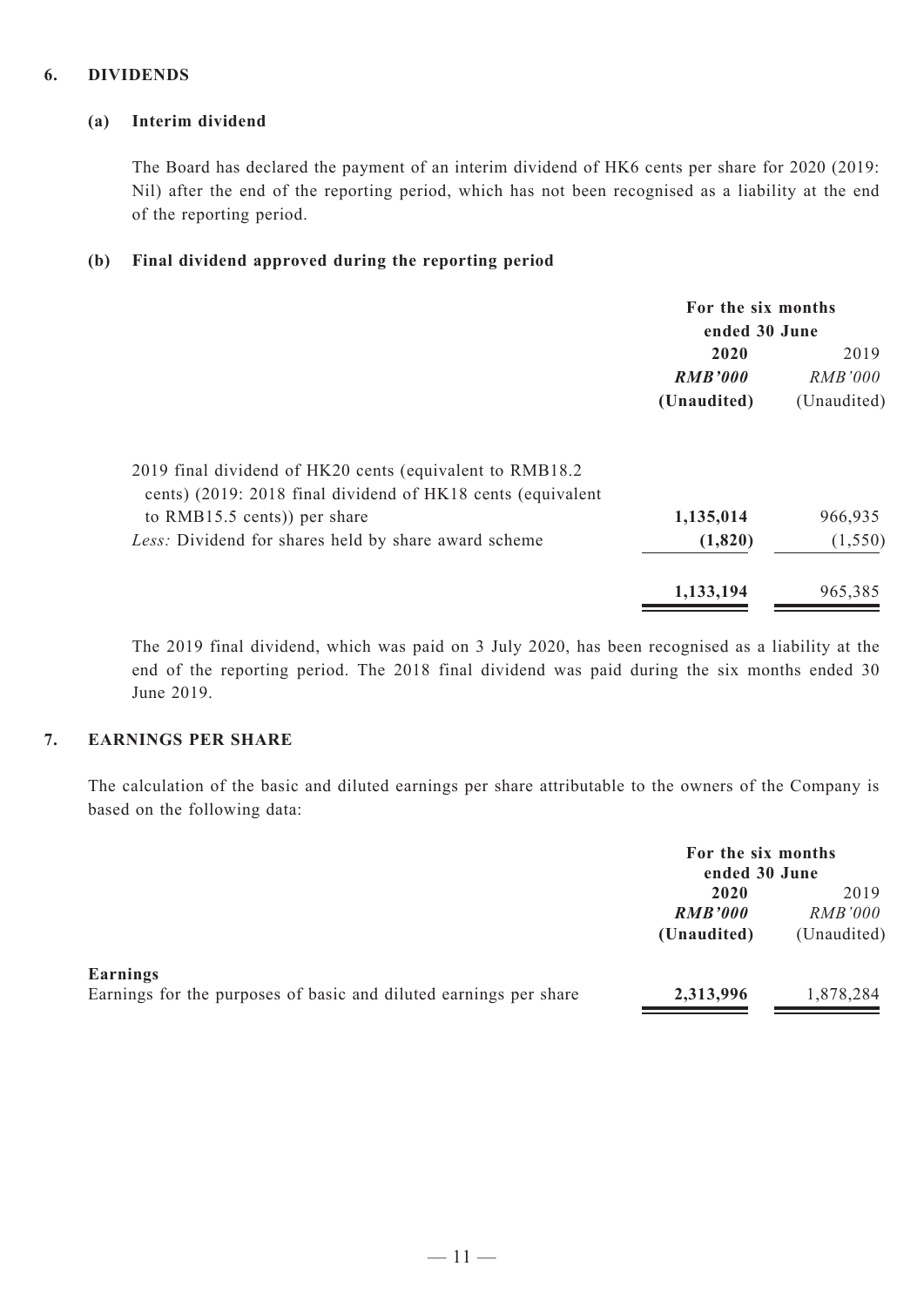#### **6. DIVIDENDS**

#### **(a) Interim dividend**

The Board has declared the payment of an interim dividend of HK6 cents per share for 2020 (2019: Nil) after the end of the reporting period, which has not been recognised as a liability at the end of the reporting period.

#### **(b) Final dividend approved during the reporting period**

|                                                             | For the six months |                |  |
|-------------------------------------------------------------|--------------------|----------------|--|
|                                                             | ended 30 June      |                |  |
|                                                             | 2020               | 2019           |  |
|                                                             | <b>RMB'000</b>     | <i>RMB'000</i> |  |
|                                                             | (Unaudited)        | (Unaudited)    |  |
| 2019 final dividend of HK20 cents (equivalent to RMB18.2)   |                    |                |  |
| cents) (2019: 2018 final dividend of HK18 cents (equivalent |                    |                |  |
| to $RMB15.5$ cents)) per share                              | 1,135,014          | 966,935        |  |
| Less: Dividend for shares held by share award scheme        | (1,820)            | (1, 550)       |  |
|                                                             | 1,133,194          | 965,385        |  |

The 2019 final dividend, which was paid on 3 July 2020, has been recognised as a liability at the end of the reporting period. The 2018 final dividend was paid during the six months ended 30 June 2019.

## **7. EARNINGS PER SHARE**

The calculation of the basic and diluted earnings per share attributable to the owners of the Company is based on the following data:

|                                                                               | For the six months<br>ended 30 June |                |  |
|-------------------------------------------------------------------------------|-------------------------------------|----------------|--|
|                                                                               | 2020                                | 2019           |  |
|                                                                               | <b>RMB'000</b>                      | <i>RMB'000</i> |  |
|                                                                               | (Unaudited)                         | (Unaudited)    |  |
| Earnings<br>Earnings for the purposes of basic and diluted earnings per share | 2,313,996                           | 1,878,284      |  |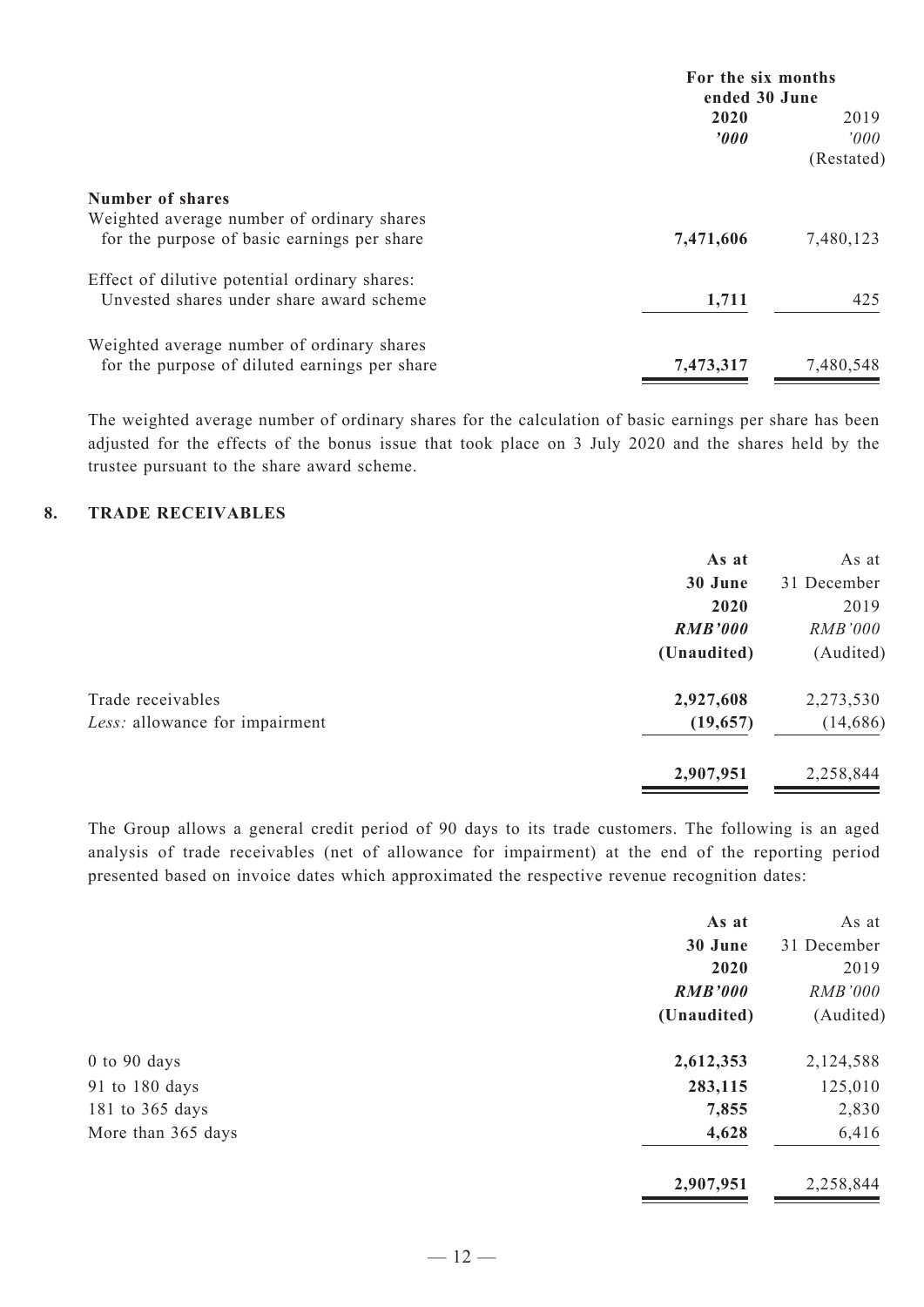|                                               | For the six months    |                |
|-----------------------------------------------|-----------------------|----------------|
|                                               | ended 30 June         |                |
|                                               | 2020                  | 2019           |
|                                               | $\boldsymbol{\theta}$ | $2000^{\circ}$ |
|                                               |                       | (Restated)     |
| Number of shares                              |                       |                |
| Weighted average number of ordinary shares    |                       |                |
| for the purpose of basic earnings per share   | 7,471,606             | 7,480,123      |
| Effect of dilutive potential ordinary shares: |                       |                |
| Unvested shares under share award scheme      | 1,711                 | 425            |
| Weighted average number of ordinary shares    |                       |                |
| for the purpose of diluted earnings per share | 7,473,317             | 7,480,548      |

The weighted average number of ordinary shares for the calculation of basic earnings per share has been adjusted for the effects of the bonus issue that took place on 3 July 2020 and the shares held by the trustee pursuant to the share award scheme.

#### **8. TRADE RECEIVABLES**

|                                | As at          | As at          |
|--------------------------------|----------------|----------------|
|                                | 30 June        | 31 December    |
|                                | 2020           | 2019           |
|                                | <b>RMB'000</b> | <i>RMB'000</i> |
|                                | (Unaudited)    | (Audited)      |
| Trade receivables              | 2,927,608      | 2,273,530      |
| Less: allowance for impairment | (19, 657)      | (14,686)       |
|                                | 2,907,951      | 2,258,844      |

The Group allows a general credit period of 90 days to its trade customers. The following is an aged analysis of trade receivables (net of allowance for impairment) at the end of the reporting period presented based on invoice dates which approximated the respective revenue recognition dates:

|                    | As at          | As at       |
|--------------------|----------------|-------------|
|                    | 30 June        | 31 December |
|                    | 2020           | 2019        |
|                    | <b>RMB'000</b> | RMB'000     |
|                    | (Unaudited)    | (Audited)   |
| $0$ to $90$ days   | 2,612,353      | 2,124,588   |
| 91 to 180 days     | 283,115        | 125,010     |
| 181 to 365 days    | 7,855          | 2,830       |
| More than 365 days | 4,628          | 6,416       |
|                    | 2,907,951      | 2,258,844   |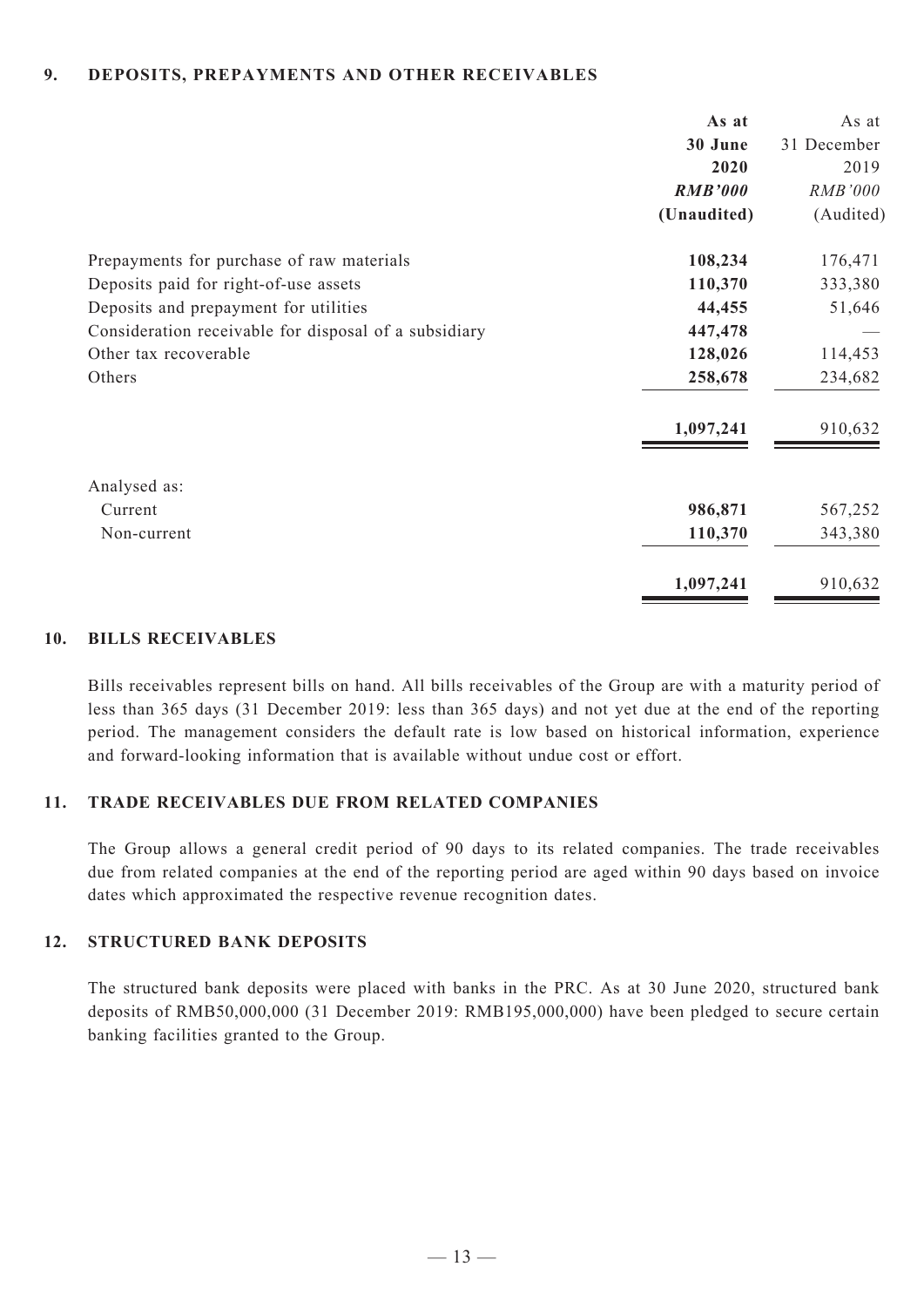#### **9. Deposits, prepayments and other receivables**

|                                                       | As at          | As at       |
|-------------------------------------------------------|----------------|-------------|
|                                                       | 30 June        | 31 December |
|                                                       | 2020           | 2019        |
|                                                       | <b>RMB'000</b> | RMB'000     |
|                                                       | (Unaudited)    | (Audited)   |
| Prepayments for purchase of raw materials             | 108,234        | 176,471     |
| Deposits paid for right-of-use assets                 | 110,370        | 333,380     |
| Deposits and prepayment for utilities                 | 44,455         | 51,646      |
| Consideration receivable for disposal of a subsidiary | 447,478        |             |
| Other tax recoverable                                 | 128,026        | 114,453     |
| Others                                                | 258,678        | 234,682     |
|                                                       | 1,097,241      | 910,632     |
| Analysed as:                                          |                |             |
| Current                                               | 986,871        | 567,252     |
| Non-current                                           | 110,370        | 343,380     |
|                                                       | 1,097,241      | 910,632     |

#### **10. BILLS RECEIVABLES**

Bills receivables represent bills on hand. All bills receivables of the Group are with a maturity period of less than 365 days (31 December 2019: less than 365 days) and not yet due at the end of the reporting period. The management considers the default rate is low based on historical information, experience and forward-looking information that is available without undue cost or effort.

#### **11. TRADE RECEIVABLES DUE FROM RELATED COMPANIES**

The Group allows a general credit period of 90 days to its related companies. The trade receivables due from related companies at the end of the reporting period are aged within 90 days based on invoice dates which approximated the respective revenue recognition dates.

#### **12. STRUCTURED Bank DEPOSITS**

The structured bank deposits were placed with banks in the PRC. As at 30 June 2020, structured bank deposits of RMB50,000,000 (31 December 2019: RMB195,000,000) have been pledged to secure certain banking facilities granted to the Group.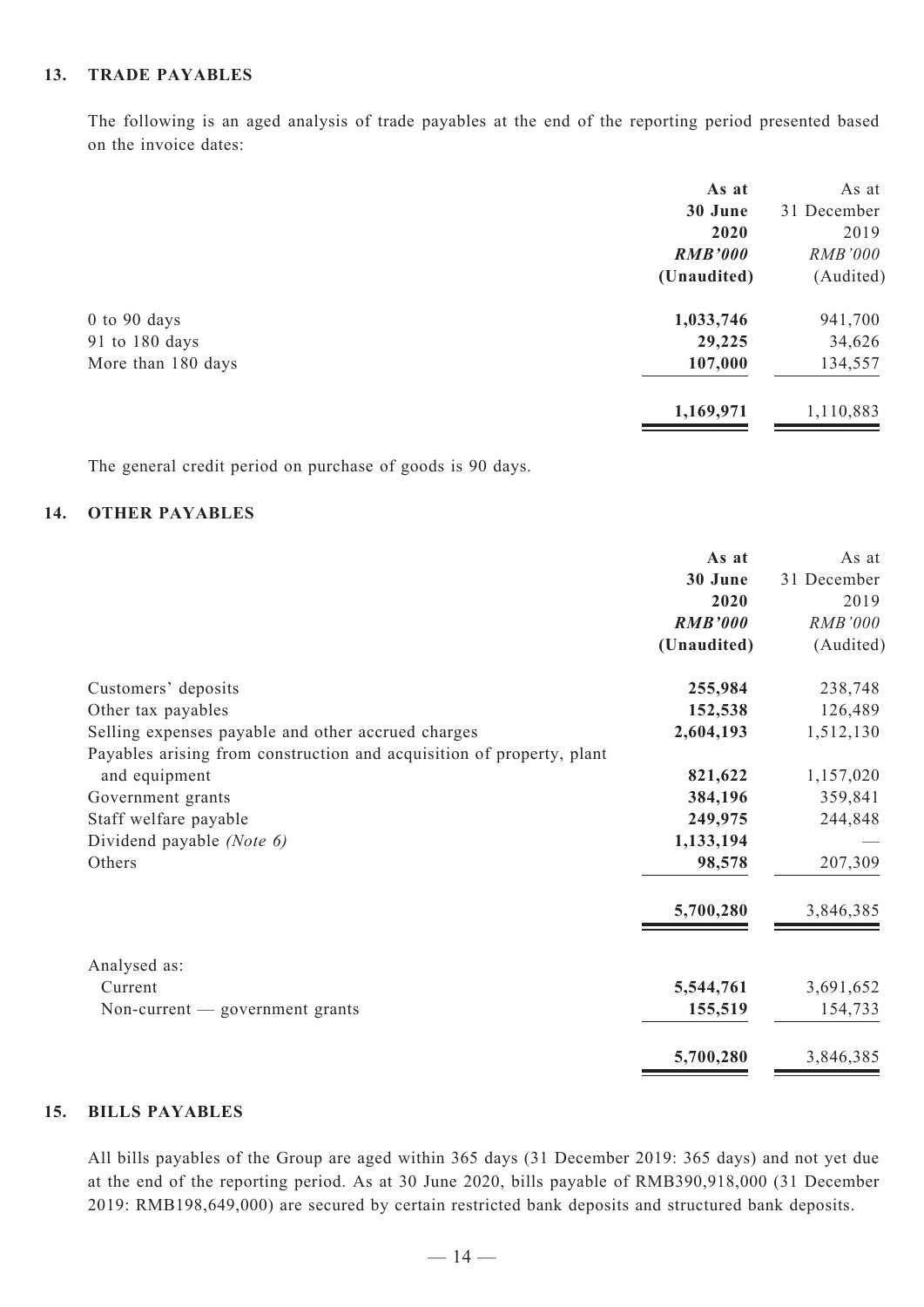#### **13. TRADE PAYABLES**

The following is an aged analysis of trade payables at the end of the reporting period presented based on the invoice dates:

|                    | As at          | As at          |
|--------------------|----------------|----------------|
|                    | 30 June        | 31 December    |
|                    | 2020           | 2019           |
|                    | <b>RMB'000</b> | <i>RMB'000</i> |
|                    | (Unaudited)    | (Audited)      |
| $0$ to $90$ days   | 1,033,746      | 941,700        |
| 91 to 180 days     | 29,225         | 34,626         |
| More than 180 days | 107,000        | 134,557        |
|                    | 1,169,971      | 1,110,883      |
|                    |                |                |

The general credit period on purchase of goods is 90 days.

#### **14. OTHER PAYABLES**

|                                                                       | As at          | As at       |
|-----------------------------------------------------------------------|----------------|-------------|
|                                                                       | 30 June        | 31 December |
|                                                                       | 2020           | 2019        |
|                                                                       | <b>RMB'000</b> | RMB'000     |
|                                                                       | (Unaudited)    | (Audited)   |
| Customers' deposits                                                   | 255,984        | 238,748     |
| Other tax payables                                                    | 152,538        | 126,489     |
| Selling expenses payable and other accrued charges                    | 2,604,193      | 1,512,130   |
| Payables arising from construction and acquisition of property, plant |                |             |
| and equipment                                                         | 821,622        | 1,157,020   |
| Government grants                                                     | 384,196        | 359,841     |
| Staff welfare payable                                                 | 249,975        | 244,848     |
| Dividend payable (Note 6)                                             | 1,133,194      |             |
| Others                                                                | 98,578         | 207,309     |
|                                                                       | 5,700,280      | 3,846,385   |
| Analysed as:                                                          |                |             |
| Current                                                               | 5,544,761      | 3,691,652   |
| Non-current $-$ government grants                                     | 155,519        | 154,733     |
|                                                                       | 5,700,280      | 3,846,385   |

## **15. BILLS PAYABLES**

All bills payables of the Group are aged within 365 days (31 December 2019: 365 days) and not yet due at the end of the reporting period. As at 30 June 2020, bills payable of RMB390,918,000 (31 December 2019: RMB198,649,000) are secured by certain restricted bank deposits and structured bank deposits.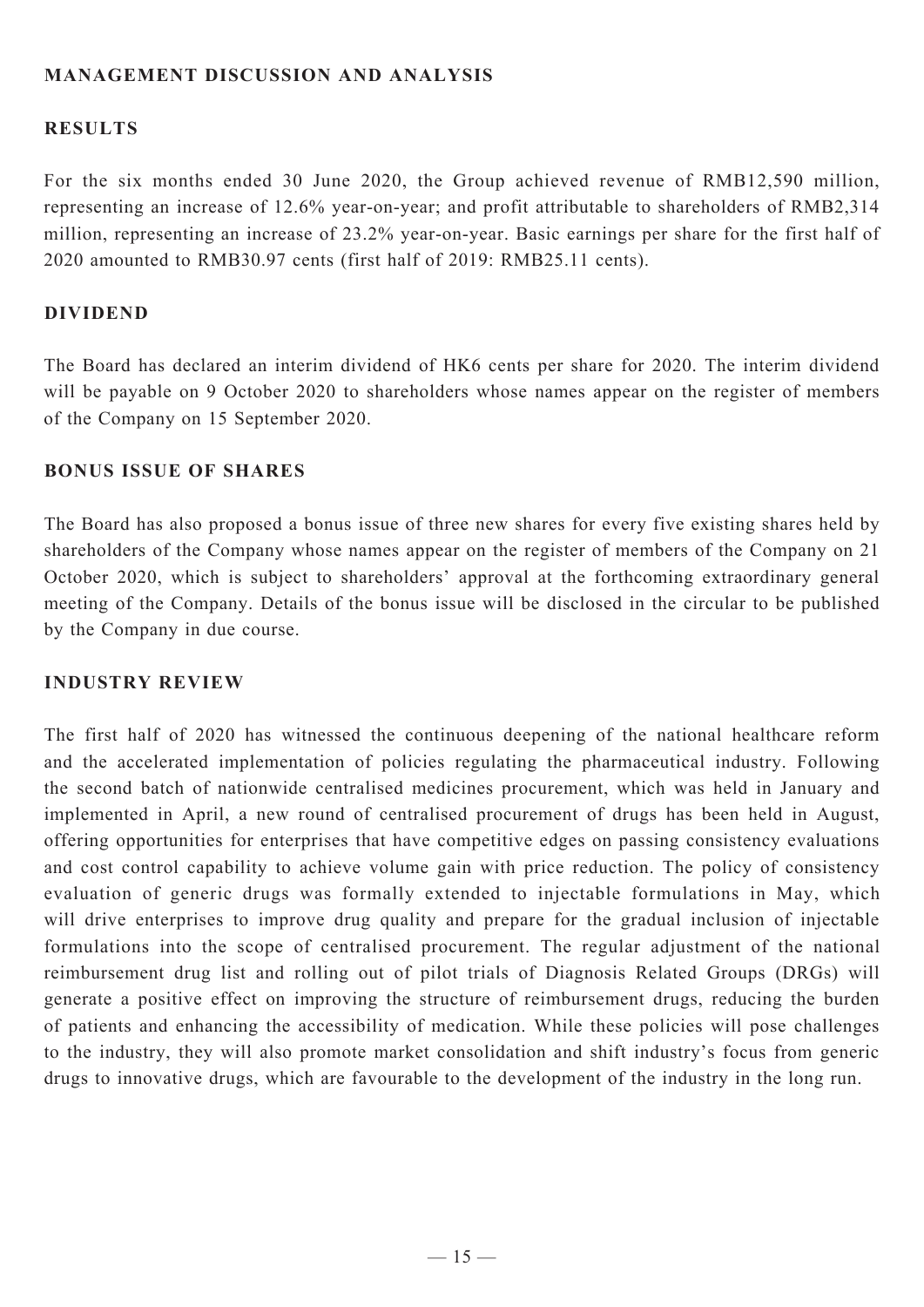## **MANAGEMENT DISCUSSION AND ANALYSIS**

## **Results**

For the six months ended 30 June 2020, the Group achieved revenue of RMB12,590 million, representing an increase of 12.6% year-on-year; and profit attributable to shareholders of RMB2,314 million, representing an increase of 23.2% year-on-year. Basic earnings per share for the first half of 2020 amounted to RMB30.97 cents (first half of 2019: RMB25.11 cents).

#### **Dividend**

The Board has declared an interim dividend of HK6 cents per share for 2020. The interim dividend will be payable on 9 October 2020 to shareholders whose names appear on the register of members of the Company on 15 September 2020.

#### **Bonus Issue of Shares**

The Board has also proposed a bonus issue of three new shares for every five existing shares held by shareholders of the Company whose names appear on the register of members of the Company on 21 October 2020, which is subject to shareholders' approval at the forthcoming extraordinary general meeting of the Company. Details of the bonus issue will be disclosed in the circular to be published by the Company in due course.

## **Industry Review**

The first half of 2020 has witnessed the continuous deepening of the national healthcare reform and the accelerated implementation of policies regulating the pharmaceutical industry. Following the second batch of nationwide centralised medicines procurement, which was held in January and implemented in April, a new round of centralised procurement of drugs has been held in August, offering opportunities for enterprises that have competitive edges on passing consistency evaluations and cost control capability to achieve volume gain with price reduction. The policy of consistency evaluation of generic drugs was formally extended to injectable formulations in May, which will drive enterprises to improve drug quality and prepare for the gradual inclusion of injectable formulations into the scope of centralised procurement. The regular adjustment of the national reimbursement drug list and rolling out of pilot trials of Diagnosis Related Groups (DRGs) will generate a positive effect on improving the structure of reimbursement drugs, reducing the burden of patients and enhancing the accessibility of medication. While these policies will pose challenges to the industry, they will also promote market consolidation and shift industry's focus from generic drugs to innovative drugs, which are favourable to the development of the industry in the long run.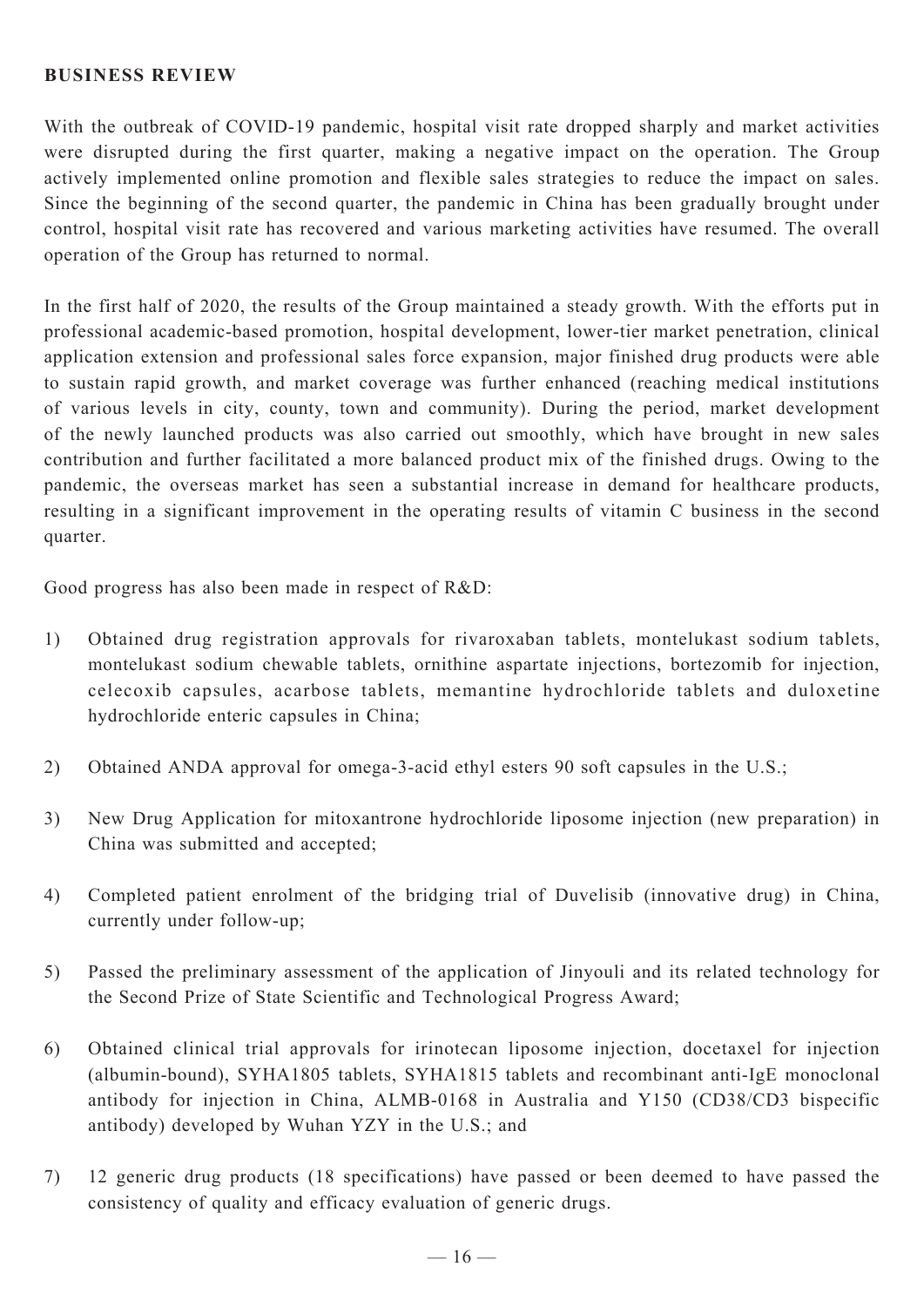## **Business Review**

With the outbreak of COVID-19 pandemic, hospital visit rate dropped sharply and market activities were disrupted during the first quarter, making a negative impact on the operation. The Group actively implemented online promotion and flexible sales strategies to reduce the impact on sales. Since the beginning of the second quarter, the pandemic in China has been gradually brought under control, hospital visit rate has recovered and various marketing activities have resumed. The overall operation of the Group has returned to normal.

In the first half of 2020, the results of the Group maintained a steady growth. With the efforts put in professional academic-based promotion, hospital development, lower-tier market penetration, clinical application extension and professional sales force expansion, major finished drug products were able to sustain rapid growth, and market coverage was further enhanced (reaching medical institutions of various levels in city, county, town and community). During the period, market development of the newly launched products was also carried out smoothly, which have brought in new sales contribution and further facilitated a more balanced product mix of the finished drugs. Owing to the pandemic, the overseas market has seen a substantial increase in demand for healthcare products, resulting in a significant improvement in the operating results of vitamin C business in the second quarter.

Good progress has also been made in respect of R&D:

- 1) Obtained drug registration approvals for rivaroxaban tablets, montelukast sodium tablets, montelukast sodium chewable tablets, ornithine aspartate injections, bortezomib for injection, celecoxib capsules, acarbose tablets, memantine hydrochloride tablets and duloxetine hydrochloride enteric capsules in China;
- 2) Obtained ANDA approval for omega-3-acid ethyl esters 90 soft capsules in the U.S.;
- 3) New Drug Application for mitoxantrone hydrochloride liposome injection (new preparation) in China was submitted and accepted;
- 4) Completed patient enrolment of the bridging trial of Duvelisib (innovative drug) in China, currently under follow-up;
- 5) Passed the preliminary assessment of the application of Jinyouli and its related technology for the Second Prize of State Scientific and Technological Progress Award;
- 6) Obtained clinical trial approvals for irinotecan liposome injection, docetaxel for injection (albumin-bound), SYHA1805 tablets, SYHA1815 tablets and recombinant anti-IgE monoclonal antibody for injection in China, ALMB-0168 in Australia and Y150 (CD38/CD3 bispecific antibody) developed by Wuhan YZY in the U.S.; and
- 7) 12 generic drug products (18 specifications) have passed or been deemed to have passed the consistency of quality and efficacy evaluation of generic drugs.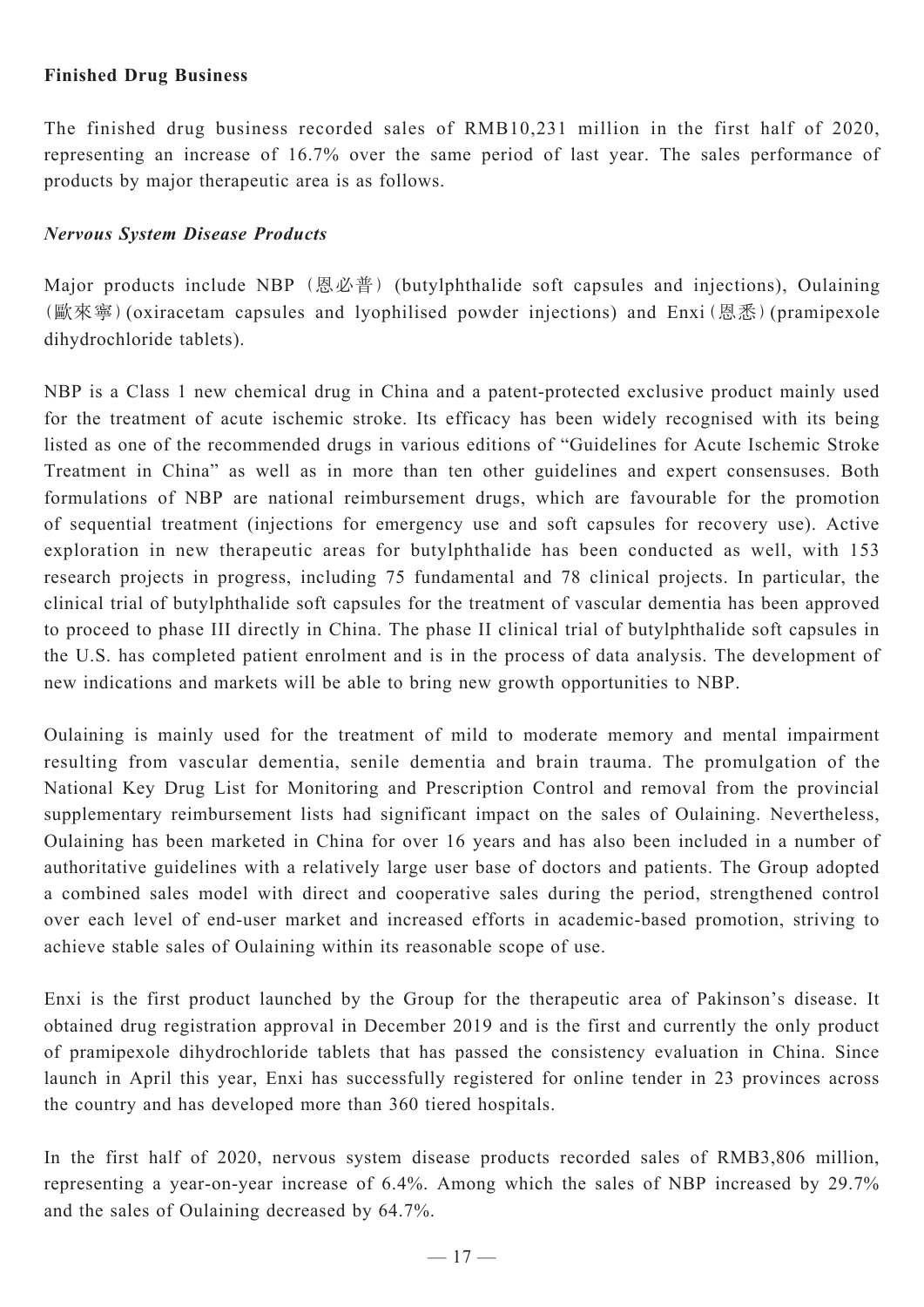## **Finished Drug Business**

The finished drug business recorded sales of RMB10,231 million in the first half of 2020, representing an increase of 16.7% over the same period of last year. The sales performance of products by major therapeutic area is as follows.

## *Nervous System Disease Products*

Major products include NBP (恩必普) (butylphthalide soft capsules and injections), Oulaining (歐來寧)(oxiracetam capsules and lyophilised powder injections) and Enxi(恩悉)(pramipexole dihydrochloride tablets).

NBP is a Class 1 new chemical drug in China and a patent-protected exclusive product mainly used for the treatment of acute ischemic stroke. Its efficacy has been widely recognised with its being listed as one of the recommended drugs in various editions of "Guidelines for Acute Ischemic Stroke Treatment in China" as well as in more than ten other guidelines and expert consensuses. Both formulations of NBP are national reimbursement drugs, which are favourable for the promotion of sequential treatment (injections for emergency use and soft capsules for recovery use). Active exploration in new therapeutic areas for butylphthalide has been conducted as well, with 153 research projects in progress, including 75 fundamental and 78 clinical projects. In particular, the clinical trial of butylphthalide soft capsules for the treatment of vascular dementia has been approved to proceed to phase III directly in China. The phase II clinical trial of butylphthalide soft capsules in the U.S. has completed patient enrolment and is in the process of data analysis. The development of new indications and markets will be able to bring new growth opportunities to NBP.

Oulaining is mainly used for the treatment of mild to moderate memory and mental impairment resulting from vascular dementia, senile dementia and brain trauma. The promulgation of the National Key Drug List for Monitoring and Prescription Control and removal from the provincial supplementary reimbursement lists had significant impact on the sales of Oulaining. Nevertheless, Oulaining has been marketed in China for over 16 years and has also been included in a number of authoritative guidelines with a relatively large user base of doctors and patients. The Group adopted a combined sales model with direct and cooperative sales during the period, strengthened control over each level of end-user market and increased efforts in academic-based promotion, striving to achieve stable sales of Oulaining within its reasonable scope of use.

Enxi is the first product launched by the Group for the therapeutic area of Pakinson's disease. It obtained drug registration approval in December 2019 and is the first and currently the only product of pramipexole dihydrochloride tablets that has passed the consistency evaluation in China. Since launch in April this year, Enxi has successfully registered for online tender in 23 provinces across the country and has developed more than 360 tiered hospitals.

In the first half of 2020, nervous system disease products recorded sales of RMB3,806 million, representing a year-on-year increase of 6.4%. Among which the sales of NBP increased by 29.7% and the sales of Oulaining decreased by 64.7%.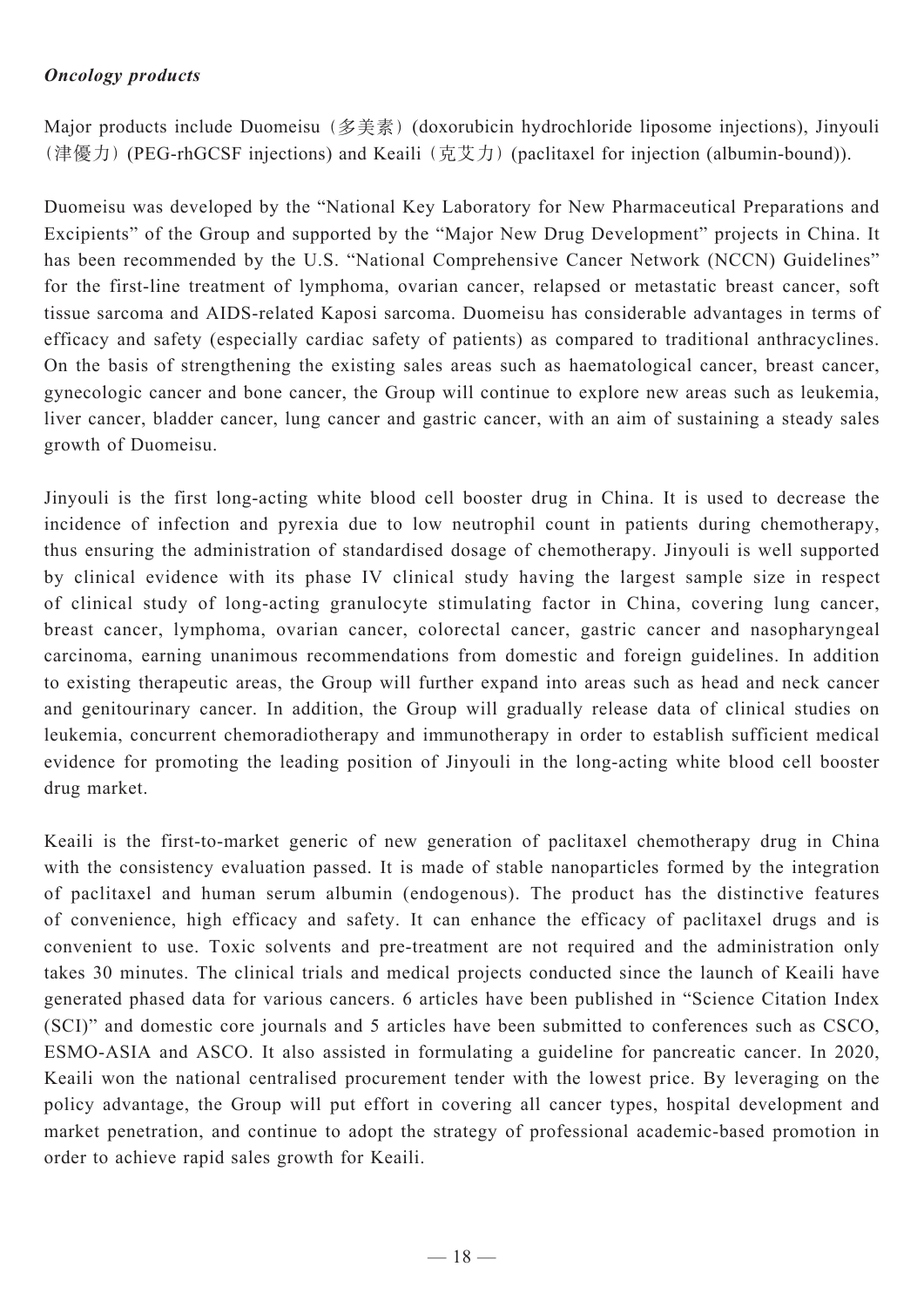# *Oncology products*

Major products include Duomeisu (多美素) (doxorubicin hydrochloride liposome injections), Jinyouli (津優力) (PEG-rhGCSF injections) and Keaili (克艾力) (paclitaxel for injection (albumin-bound)).

Duomeisu was developed by the "National Key Laboratory for New Pharmaceutical Preparations and Excipients" of the Group and supported by the "Major New Drug Development" projects in China. It has been recommended by the U.S. "National Comprehensive Cancer Network (NCCN) Guidelines" for the first-line treatment of lymphoma, ovarian cancer, relapsed or metastatic breast cancer, soft tissue sarcoma and AIDS-related Kaposi sarcoma. Duomeisu has considerable advantages in terms of efficacy and safety (especially cardiac safety of patients) as compared to traditional anthracyclines. On the basis of strengthening the existing sales areas such as haematological cancer, breast cancer, gynecologic cancer and bone cancer, the Group will continue to explore new areas such as leukemia, liver cancer, bladder cancer, lung cancer and gastric cancer, with an aim of sustaining a steady sales growth of Duomeisu.

Jinyouli is the first long-acting white blood cell booster drug in China. It is used to decrease the incidence of infection and pyrexia due to low neutrophil count in patients during chemotherapy, thus ensuring the administration of standardised dosage of chemotherapy. Jinyouli is well supported by clinical evidence with its phase IV clinical study having the largest sample size in respect of clinical study of long-acting granulocyte stimulating factor in China, covering lung cancer, breast cancer, lymphoma, ovarian cancer, colorectal cancer, gastric cancer and nasopharyngeal carcinoma, earning unanimous recommendations from domestic and foreign guidelines. In addition to existing therapeutic areas, the Group will further expand into areas such as head and neck cancer and genitourinary cancer. In addition, the Group will gradually release data of clinical studies on leukemia, concurrent chemoradiotherapy and immunotherapy in order to establish sufficient medical evidence for promoting the leading position of Jinyouli in the long-acting white blood cell booster drug market.

Keaili is the first-to-market generic of new generation of paclitaxel chemotherapy drug in China with the consistency evaluation passed. It is made of stable nanoparticles formed by the integration of paclitaxel and human serum albumin (endogenous). The product has the distinctive features of convenience, high efficacy and safety. It can enhance the efficacy of paclitaxel drugs and is convenient to use. Toxic solvents and pre-treatment are not required and the administration only takes 30 minutes. The clinical trials and medical projects conducted since the launch of Keaili have generated phased data for various cancers. 6 articles have been published in "Science Citation Index (SCI)" and domestic core journals and 5 articles have been submitted to conferences such as CSCO, ESMO-ASIA and ASCO. It also assisted in formulating a guideline for pancreatic cancer. In 2020, Keaili won the national centralised procurement tender with the lowest price. By leveraging on the policy advantage, the Group will put effort in covering all cancer types, hospital development and market penetration, and continue to adopt the strategy of professional academic-based promotion in order to achieve rapid sales growth for Keaili.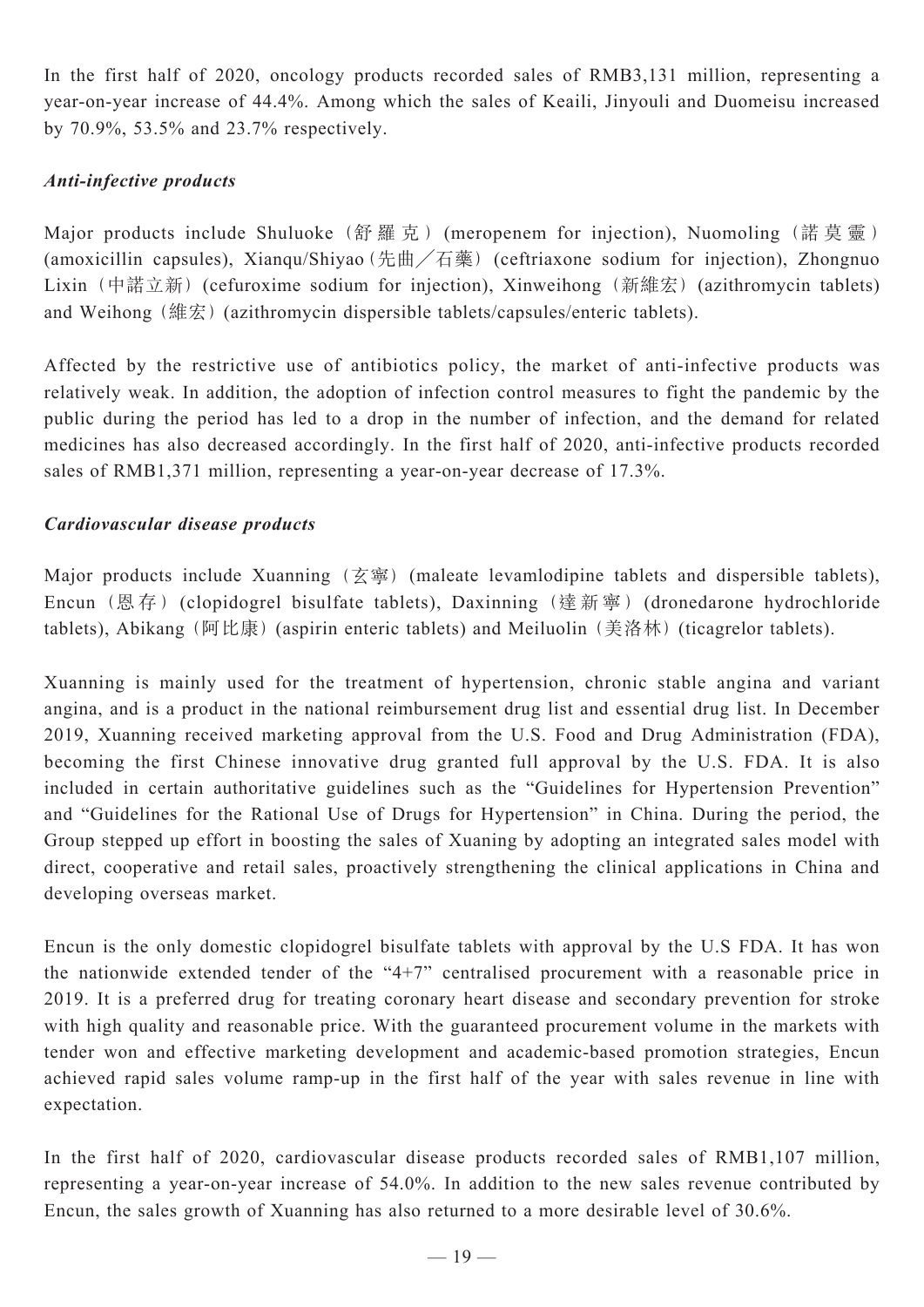In the first half of 2020, oncology products recorded sales of RMB3,131 million, representing a year-on-year increase of 44.4%. Among which the sales of Keaili, Jinyouli and Duomeisu increased by 70.9%, 53.5% and 23.7% respectively.

# *Anti-infective products*

Major products include Shuluoke (舒羅克) (meropenem for injection), Nuomoling (諾莫靈) (amoxicillin capsules), Xianqu/Shiyao(先曲╱石藥) (ceftriaxone sodium for injection), Zhongnuo Lixin (中諾立新) (cefuroxime sodium for injection), Xinweihong (新維宏) (azithromycin tablets) and Weihong (維宏) (azithromycin dispersible tablets/capsules/enteric tablets).

Affected by the restrictive use of antibiotics policy, the market of anti-infective products was relatively weak. In addition, the adoption of infection control measures to fight the pandemic by the public during the period has led to a drop in the number of infection, and the demand for related medicines has also decreased accordingly. In the first half of 2020, anti-infective products recorded sales of RMB1,371 million, representing a year-on-year decrease of 17.3%.

## *Cardiovascular disease products*

Major products include Xuanning  $(\overline{\mathfrak{Z}})$  (maleate levamlodipine tablets and dispersible tablets), Encun (恩 存 ) (clopidogrel bisulfate tablets), Daxinning (達 新 寧 ) (dronedarone hydrochloride tablets), Abikang (阿比康) (aspirin enteric tablets) and Meiluolin (美洛林) (ticagrelor tablets).

Xuanning is mainly used for the treatment of hypertension, chronic stable angina and variant angina, and is a product in the national reimbursement drug list and essential drug list. In December 2019, Xuanning received marketing approval from the U.S. Food and Drug Administration (FDA), becoming the first Chinese innovative drug granted full approval by the U.S. FDA. It is also included in certain authoritative guidelines such as the "Guidelines for Hypertension Prevention" and "Guidelines for the Rational Use of Drugs for Hypertension" in China. During the period, the Group stepped up effort in boosting the sales of Xuaning by adopting an integrated sales model with direct, cooperative and retail sales, proactively strengthening the clinical applications in China and developing overseas market.

Encun is the only domestic clopidogrel bisulfate tablets with approval by the U.S FDA. It has won the nationwide extended tender of the "4+7" centralised procurement with a reasonable price in 2019. It is a preferred drug for treating coronary heart disease and secondary prevention for stroke with high quality and reasonable price. With the guaranteed procurement volume in the markets with tender won and effective marketing development and academic-based promotion strategies, Encun achieved rapid sales volume ramp-up in the first half of the year with sales revenue in line with expectation.

In the first half of 2020, cardiovascular disease products recorded sales of RMB1,107 million, representing a year-on-year increase of 54.0%. In addition to the new sales revenue contributed by Encun, the sales growth of Xuanning has also returned to a more desirable level of 30.6%.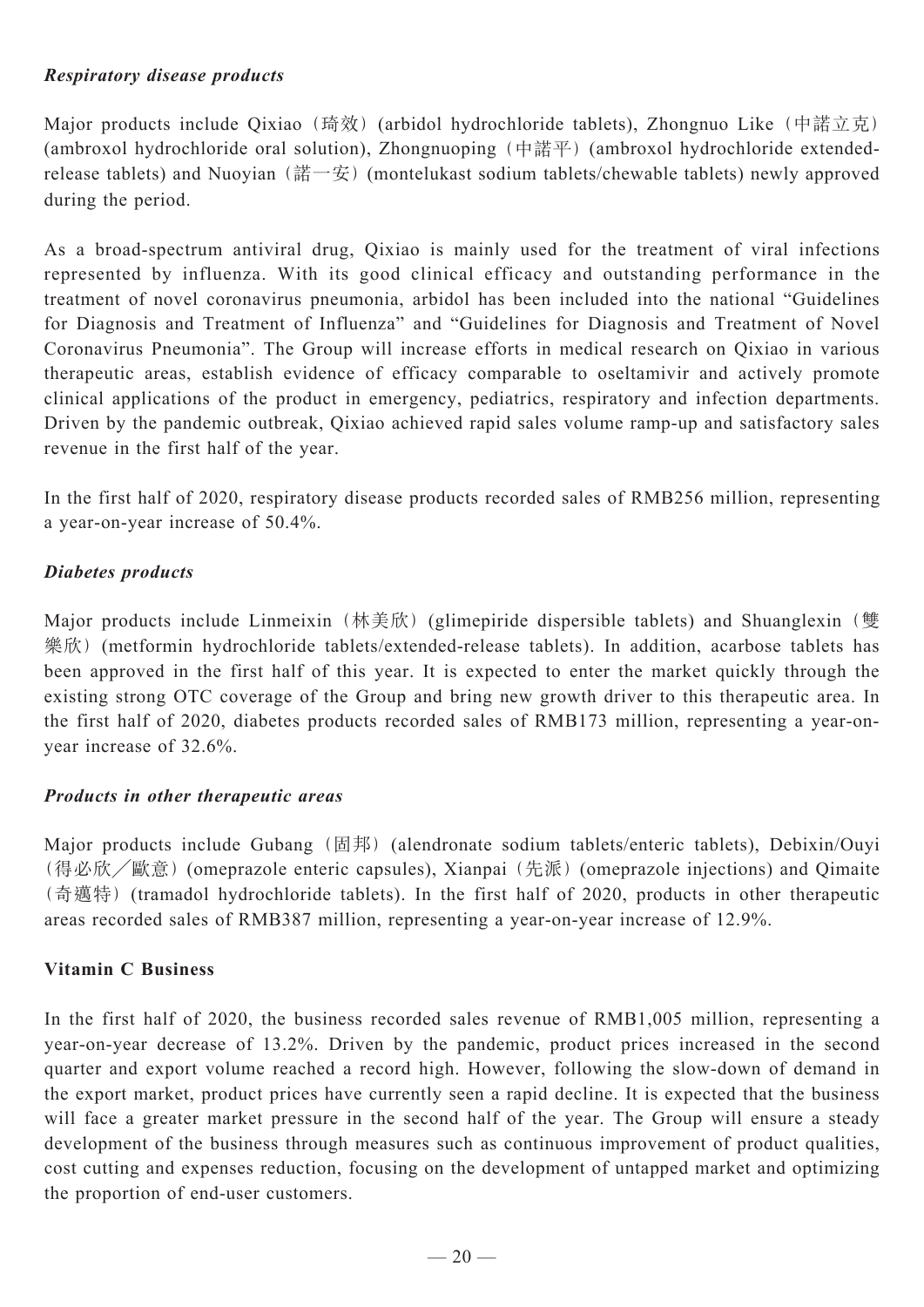# *Respiratory disease products*

Major products include Qixiao (琦效) (arbidol hydrochloride tablets), Zhongnuo Like (中諾立克) (ambroxol hydrochloride oral solution), Zhongnuoping (中諾平) (ambroxol hydrochloride extendedrelease tablets) and Nuoyian (諾一安) (montelukast sodium tablets/chewable tablets) newly approved during the period.

As a broad-spectrum antiviral drug, Qixiao is mainly used for the treatment of viral infections represented by influenza. With its good clinical efficacy and outstanding performance in the treatment of novel coronavirus pneumonia, arbidol has been included into the national "Guidelines for Diagnosis and Treatment of Influenza" and "Guidelines for Diagnosis and Treatment of Novel Coronavirus Pneumonia". The Group will increase efforts in medical research on Qixiao in various therapeutic areas, establish evidence of efficacy comparable to oseltamivir and actively promote clinical applications of the product in emergency, pediatrics, respiratory and infection departments. Driven by the pandemic outbreak, Qixiao achieved rapid sales volume ramp-up and satisfactory sales revenue in the first half of the year.

In the first half of 2020, respiratory disease products recorded sales of RMB256 million, representing a year-on-year increase of 50.4%.

# *Diabetes products*

Major products include Linmeixin (林美欣) (glimepiride dispersible tablets) and Shuanglexin (雙 樂欣)(metformin hydrochloride tablets/extended-release tablets). In addition, acarbose tablets has been approved in the first half of this year. It is expected to enter the market quickly through the existing strong OTC coverage of the Group and bring new growth driver to this therapeutic area. In the first half of 2020, diabetes products recorded sales of RMB173 million, representing a year-onyear increase of 32.6%.

# *Products in other therapeutic areas*

Major products include Gubang (固邦) (alendronate sodium tablets/enteric tablets), Debixin/Ouyi (得必欣╱歐意)(omeprazole enteric capsules), Xianpai (先派)(omeprazole injections) and Qimaite (奇邁特)(tramadol hydrochloride tablets). In the first half of 2020, products in other therapeutic areas recorded sales of RMB387 million, representing a year-on-year increase of 12.9%.

# **Vitamin C Business**

In the first half of 2020, the business recorded sales revenue of RMB1,005 million, representing a year-on-year decrease of 13.2%. Driven by the pandemic, product prices increased in the second quarter and export volume reached a record high. However, following the slow-down of demand in the export market, product prices have currently seen a rapid decline. It is expected that the business will face a greater market pressure in the second half of the year. The Group will ensure a steady development of the business through measures such as continuous improvement of product qualities, cost cutting and expenses reduction, focusing on the development of untapped market and optimizing the proportion of end-user customers.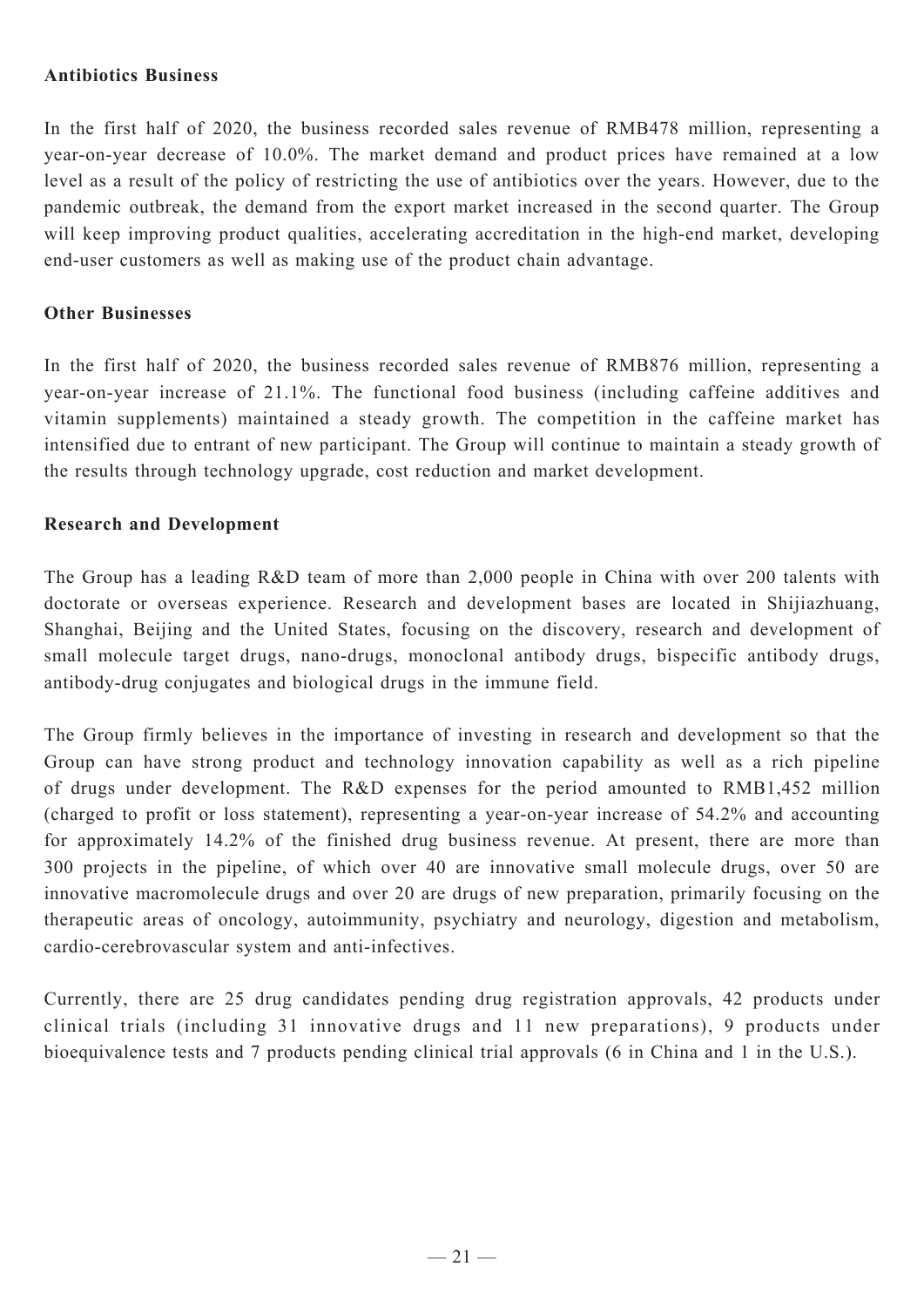## **Antibiotics Business**

In the first half of 2020, the business recorded sales revenue of RMB478 million, representing a year-on-year decrease of 10.0%. The market demand and product prices have remained at a low level as a result of the policy of restricting the use of antibiotics over the years. However, due to the pandemic outbreak, the demand from the export market increased in the second quarter. The Group will keep improving product qualities, accelerating accreditation in the high-end market, developing end-user customers as well as making use of the product chain advantage.

### **Other Businesses**

In the first half of 2020, the business recorded sales revenue of RMB876 million, representing a year-on-year increase of 21.1%. The functional food business (including caffeine additives and vitamin supplements) maintained a steady growth. The competition in the caffeine market has intensified due to entrant of new participant. The Group will continue to maintain a steady growth of the results through technology upgrade, cost reduction and market development.

### **Research and Development**

The Group has a leading R&D team of more than 2,000 people in China with over 200 talents with doctorate or overseas experience. Research and development bases are located in Shijiazhuang, Shanghai, Beijing and the United States, focusing on the discovery, research and development of small molecule target drugs, nano-drugs, monoclonal antibody drugs, bispecific antibody drugs, antibody-drug conjugates and biological drugs in the immune field.

The Group firmly believes in the importance of investing in research and development so that the Group can have strong product and technology innovation capability as well as a rich pipeline of drugs under development. The R&D expenses for the period amounted to RMB1,452 million (charged to profit or loss statement), representing a year-on-year increase of 54.2% and accounting for approximately 14.2% of the finished drug business revenue. At present, there are more than 300 projects in the pipeline, of which over 40 are innovative small molecule drugs, over 50 are innovative macromolecule drugs and over 20 are drugs of new preparation, primarily focusing on the therapeutic areas of oncology, autoimmunity, psychiatry and neurology, digestion and metabolism, cardio-cerebrovascular system and anti-infectives.

Currently, there are 25 drug candidates pending drug registration approvals, 42 products under clinical trials (including 31 innovative drugs and 11 new preparations), 9 products under bioequivalence tests and 7 products pending clinical trial approvals (6 in China and 1 in the U.S.).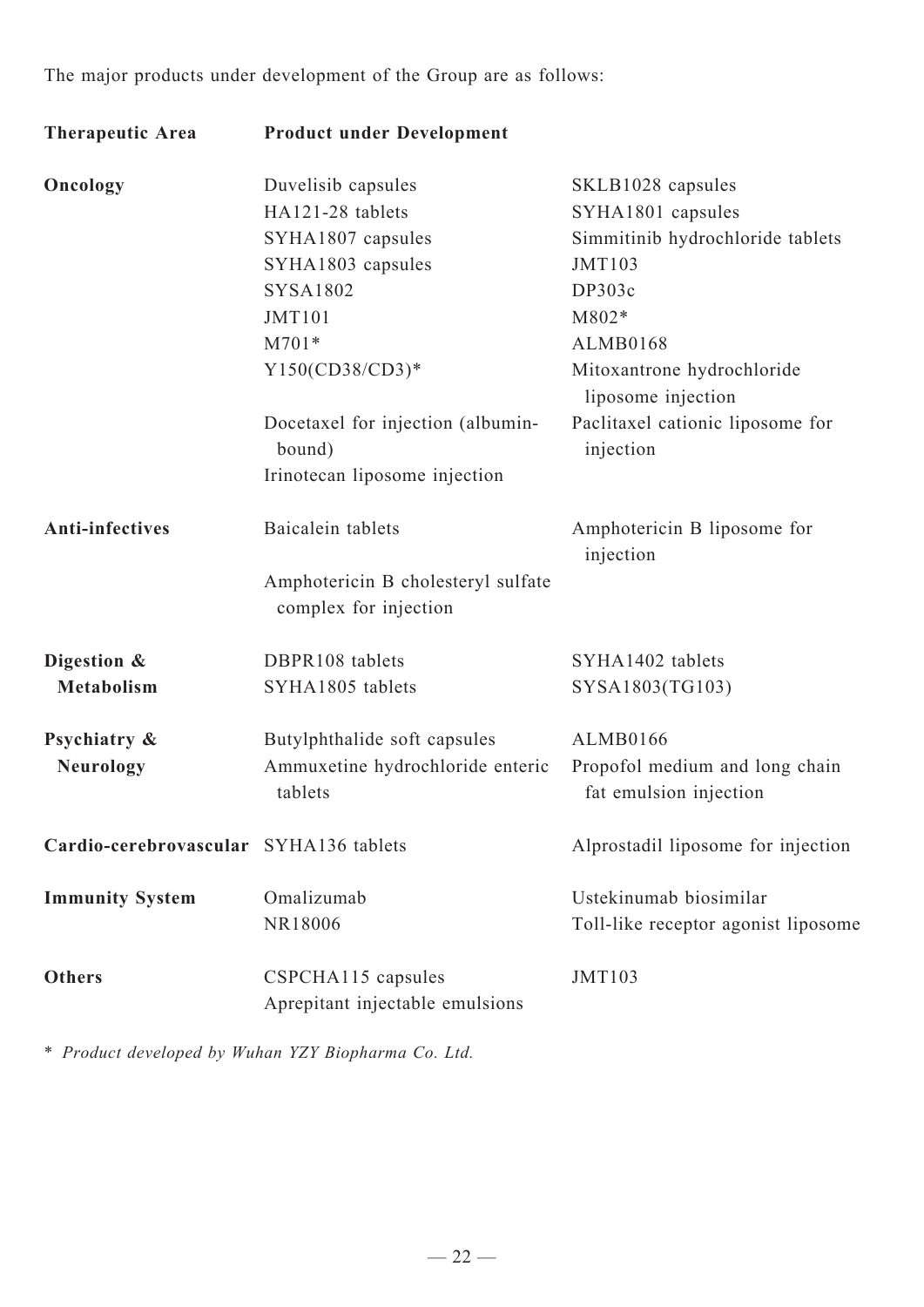The major products under development of the Group are as follows:

| <b>Therapeutic Area</b>                | <b>Product under Development</b>                            |                                                          |
|----------------------------------------|-------------------------------------------------------------|----------------------------------------------------------|
| Oncology                               | Duvelisib capsules                                          | SKLB1028 capsules                                        |
|                                        | HA121-28 tablets                                            | SYHA1801 capsules                                        |
|                                        | SYHA1807 capsules                                           | Simmitinib hydrochloride tablets                         |
|                                        | SYHA1803 capsules                                           | <b>JMT103</b>                                            |
|                                        | <b>SYSA1802</b>                                             | DP303c                                                   |
|                                        | <b>JMT101</b>                                               | M802*                                                    |
|                                        | $M701*$                                                     | ALMB0168                                                 |
|                                        | Y150(CD38/CD3)*                                             | Mitoxantrone hydrochloride<br>liposome injection         |
|                                        | Docetaxel for injection (albumin-<br>bound)                 | Paclitaxel cationic liposome for<br>injection            |
|                                        | Irinotecan liposome injection                               |                                                          |
| <b>Anti-infectives</b>                 | Baicalein tablets                                           | Amphotericin B liposome for<br>injection                 |
|                                        | Amphotericin B cholesteryl sulfate<br>complex for injection |                                                          |
| Digestion &                            | DBPR108 tablets                                             | SYHA1402 tablets                                         |
| <b>Metabolism</b>                      | SYHA1805 tablets                                            | SYSA1803(TG103)                                          |
| Psychiatry &                           | Butylphthalide soft capsules                                | ALMB0166                                                 |
| <b>Neurology</b>                       | Ammuxetine hydrochloride enteric<br>tablets                 | Propofol medium and long chain<br>fat emulsion injection |
| Cardio-cerebrovascular SYHA136 tablets |                                                             | Alprostadil liposome for injection                       |
| <b>Immunity System</b>                 | Omalizumab                                                  | Ustekinumab biosimilar                                   |
|                                        | NR18006                                                     | Toll-like receptor agonist liposome                      |
| <b>Others</b>                          | CSPCHA115 capsules                                          | JMT103                                                   |
|                                        | Aprepitant injectable emulsions                             |                                                          |

\* *Product developed by Wuhan YZY Biopharma Co. Ltd.*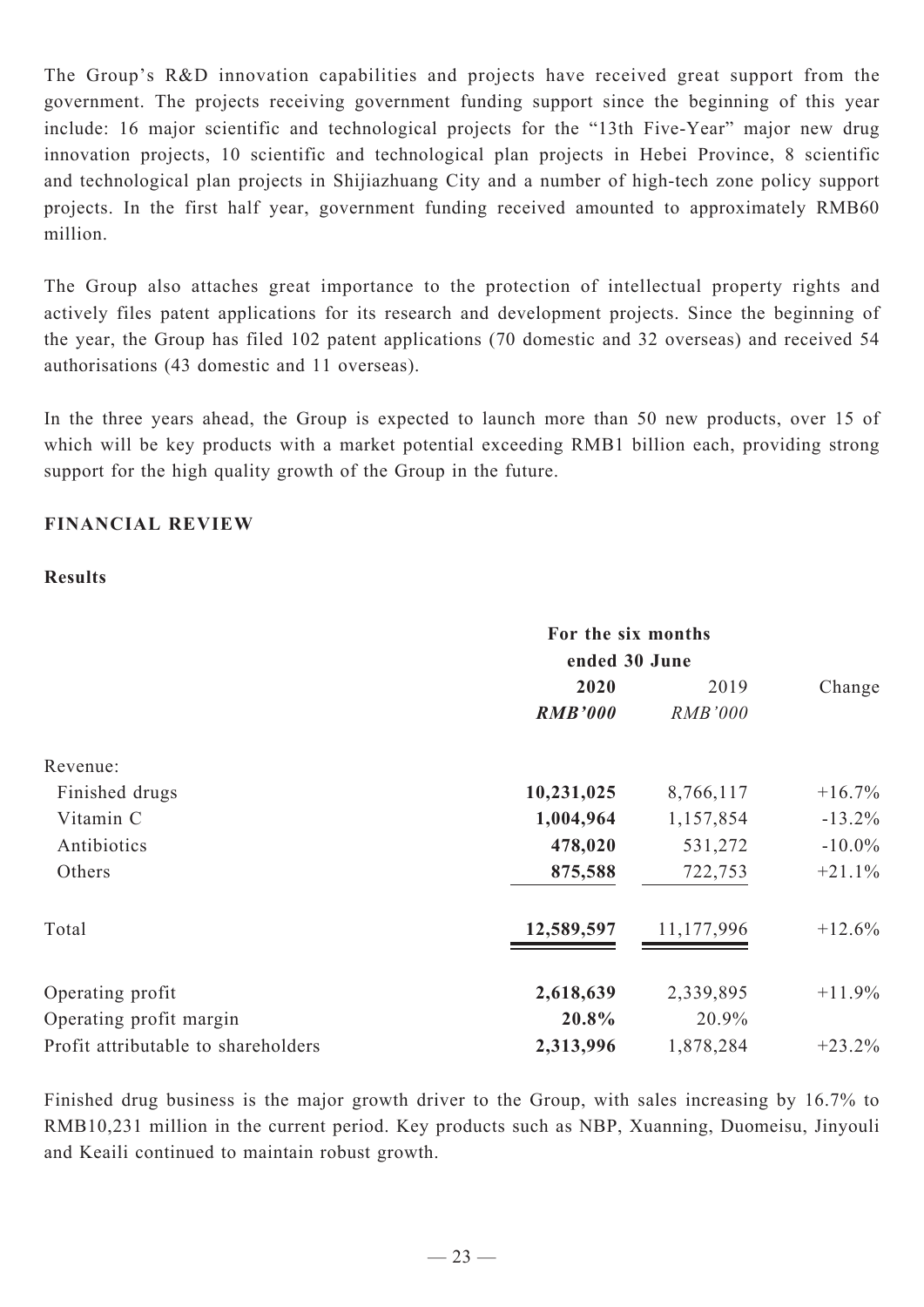The Group's R&D innovation capabilities and projects have received great support from the government. The projects receiving government funding support since the beginning of this year include: 16 major scientific and technological projects for the "13th Five-Year" major new drug innovation projects, 10 scientific and technological plan projects in Hebei Province, 8 scientific and technological plan projects in Shijiazhuang City and a number of high-tech zone policy support projects. In the first half year, government funding received amounted to approximately RMB60 million.

The Group also attaches great importance to the protection of intellectual property rights and actively files patent applications for its research and development projects. Since the beginning of the year, the Group has filed 102 patent applications (70 domestic and 32 overseas) and received 54 authorisations (43 domestic and 11 overseas).

In the three years ahead, the Group is expected to launch more than 50 new products, over 15 of which will be key products with a market potential exceeding RMB1 billion each, providing strong support for the high quality growth of the Group in the future.

# **FINANCIAL REVIEW**

## **Results**

|                                     | For the six months<br>ended 30 June |                |           |
|-------------------------------------|-------------------------------------|----------------|-----------|
|                                     |                                     |                |           |
|                                     | 2020                                | 2019           | Change    |
|                                     | <b>RMB'000</b>                      | <b>RMB'000</b> |           |
| Revenue:                            |                                     |                |           |
| Finished drugs                      | 10,231,025                          | 8,766,117      | $+16.7\%$ |
| Vitamin C                           | 1,004,964                           | 1,157,854      | $-13.2\%$ |
| Antibiotics                         | 478,020                             | 531,272        | $-10.0\%$ |
| Others                              | 875,588                             | 722,753        | $+21.1%$  |
| Total                               | 12,589,597                          | 11,177,996     | $+12.6%$  |
| Operating profit                    | 2,618,639                           | 2,339,895      | $+11.9%$  |
| Operating profit margin             | 20.8%                               | 20.9%          |           |
| Profit attributable to shareholders | 2,313,996                           | 1,878,284      | $+23.2%$  |

Finished drug business is the major growth driver to the Group, with sales increasing by 16.7% to RMB10,231 million in the current period. Key products such as NBP, Xuanning, Duomeisu, Jinyouli and Keaili continued to maintain robust growth.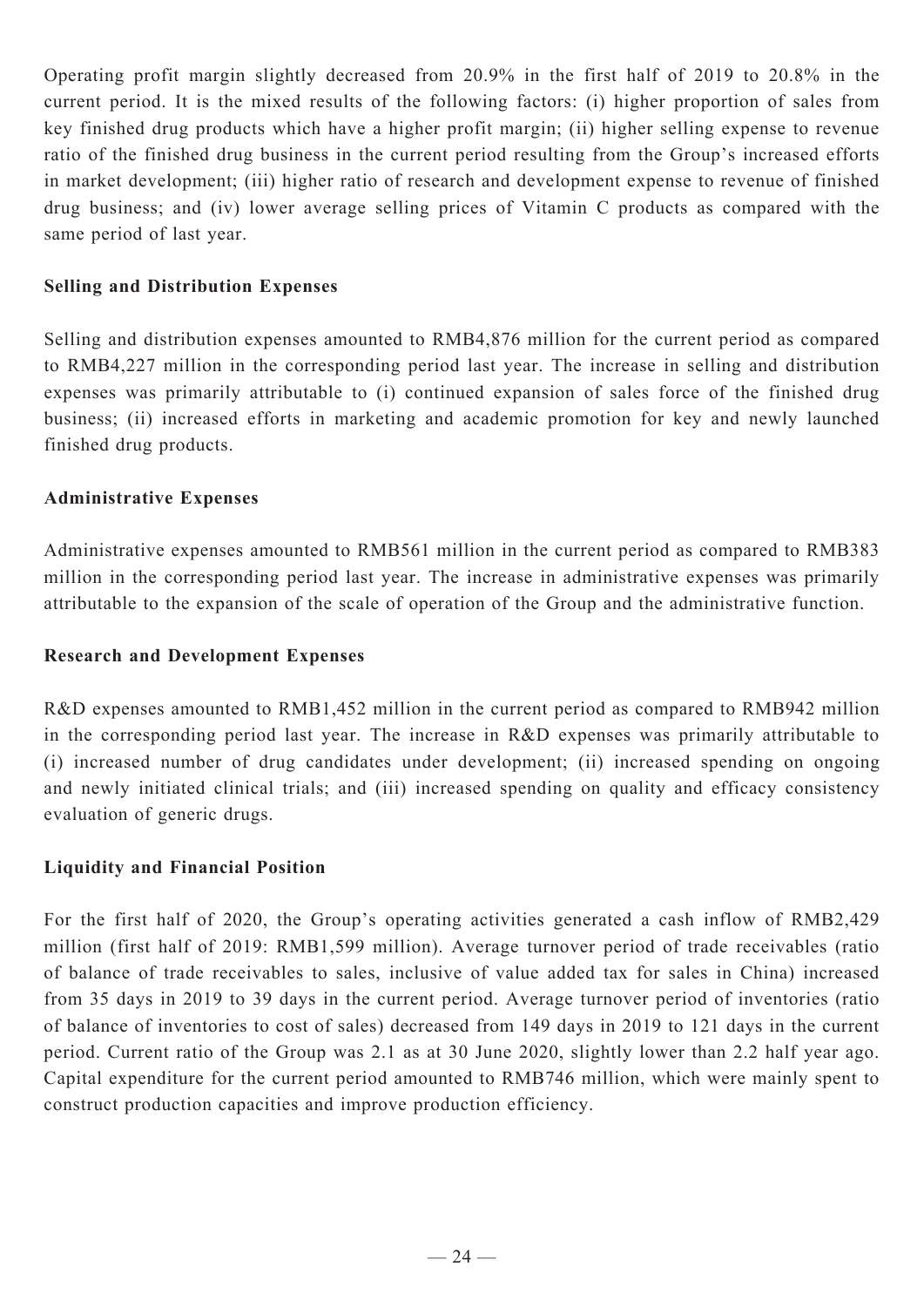Operating profit margin slightly decreased from 20.9% in the first half of 2019 to 20.8% in the current period. It is the mixed results of the following factors: (i) higher proportion of sales from key finished drug products which have a higher profit margin; (ii) higher selling expense to revenue ratio of the finished drug business in the current period resulting from the Group's increased efforts in market development; (iii) higher ratio of research and development expense to revenue of finished drug business; and (iv) lower average selling prices of Vitamin C products as compared with the same period of last year.

## **Selling and Distribution Expenses**

Selling and distribution expenses amounted to RMB4,876 million for the current period as compared to RMB4,227 million in the corresponding period last year. The increase in selling and distribution expenses was primarily attributable to (i) continued expansion of sales force of the finished drug business; (ii) increased efforts in marketing and academic promotion for key and newly launched finished drug products.

#### **Administrative Expenses**

Administrative expenses amounted to RMB561 million in the current period as compared to RMB383 million in the corresponding period last year. The increase in administrative expenses was primarily attributable to the expansion of the scale of operation of the Group and the administrative function.

#### **Research and Development Expenses**

R&D expenses amounted to RMB1,452 million in the current period as compared to RMB942 million in the corresponding period last year. The increase in R&D expenses was primarily attributable to (i) increased number of drug candidates under development; (ii) increased spending on ongoing and newly initiated clinical trials; and (iii) increased spending on quality and efficacy consistency evaluation of generic drugs.

## **Liquidity and Financial Position**

For the first half of 2020, the Group's operating activities generated a cash inflow of RMB2,429 million (first half of 2019: RMB1,599 million). Average turnover period of trade receivables (ratio of balance of trade receivables to sales, inclusive of value added tax for sales in China) increased from 35 days in 2019 to 39 days in the current period. Average turnover period of inventories (ratio of balance of inventories to cost of sales) decreased from 149 days in 2019 to 121 days in the current period. Current ratio of the Group was 2.1 as at 30 June 2020, slightly lower than 2.2 half year ago. Capital expenditure for the current period amounted to RMB746 million, which were mainly spent to construct production capacities and improve production efficiency.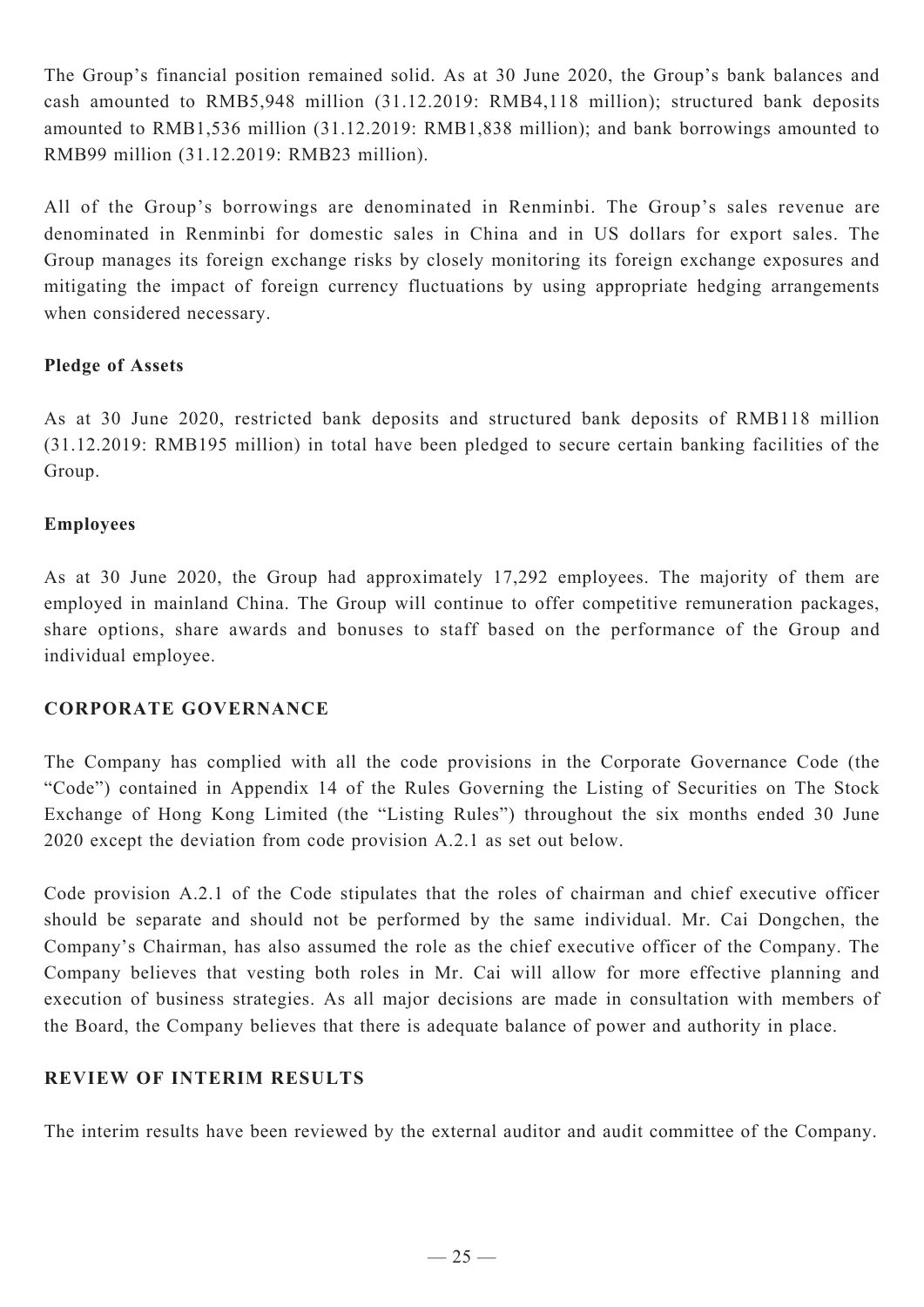The Group's financial position remained solid. As at 30 June 2020, the Group's bank balances and cash amounted to RMB5,948 million (31.12.2019: RMB4,118 million); structured bank deposits amounted to RMB1,536 million (31.12.2019: RMB1,838 million); and bank borrowings amounted to RMB99 million (31.12.2019: RMB23 million).

All of the Group's borrowings are denominated in Renminbi. The Group's sales revenue are denominated in Renminbi for domestic sales in China and in US dollars for export sales. The Group manages its foreign exchange risks by closely monitoring its foreign exchange exposures and mitigating the impact of foreign currency fluctuations by using appropriate hedging arrangements when considered necessary.

# **Pledge of Assets**

As at 30 June 2020, restricted bank deposits and structured bank deposits of RMB118 million (31.12.2019: RMB195 million) in total have been pledged to secure certain banking facilities of the Group.

# **Employees**

As at 30 June 2020, the Group had approximately 17,292 employees. The majority of them are employed in mainland China. The Group will continue to offer competitive remuneration packages, share options, share awards and bonuses to staff based on the performance of the Group and individual employee.

# **CORPORATE GOVERNANCE**

The Company has complied with all the code provisions in the Corporate Governance Code (the "Code") contained in Appendix 14 of the Rules Governing the Listing of Securities on The Stock Exchange of Hong Kong Limited (the "Listing Rules") throughout the six months ended 30 June 2020 except the deviation from code provision A.2.1 as set out below.

Code provision A.2.1 of the Code stipulates that the roles of chairman and chief executive officer should be separate and should not be performed by the same individual. Mr. Cai Dongchen, the Company's Chairman, has also assumed the role as the chief executive officer of the Company. The Company believes that vesting both roles in Mr. Cai will allow for more effective planning and execution of business strategies. As all major decisions are made in consultation with members of the Board, the Company believes that there is adequate balance of power and authority in place.

## **REVIEW OF INTERIM RESULTS**

The interim results have been reviewed by the external auditor and audit committee of the Company.